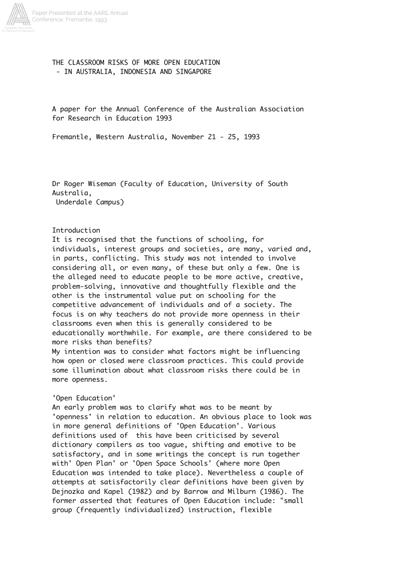

# THE CLASSROOM RISKS OF MORE OPEN EDUCATION - IN AUSTRALIA, INDONESIA AND SINGAPORE

A paper for the Annual Conference of the Australian Association for Research in Education 1993

Fremantle, Western Australia, November 21 - 25, 1993

Dr Roger Wiseman (Faculty of Education, University of South Australia, Underdale Campus)

Introduction

It is recognised that the functions of schooling, for individuals, interest groups and societies, are many, varied and, in parts, conflicting. This study was not intended to involve considering all, or even many, of these but only a few. One is the alleged need to educate people to be more active, creative, problem-solving, innovative and thoughtfully flexible and the other is the instrumental value put on schooling for the competitive advancement of individuals and of a society. The focus is on why teachers do not provide more openness in their classrooms even when this is generally considered to be educationally worthwhile. For example, are there considered to be more risks than benefits?

My intention was to consider what factors might be influencing how open or closed were classroom practices. This could provide some illumination about what classroom risks there could be in more openness.

### 'Open Education'

An early problem was to clarify what was to be meant by 'openness' in relation to education. An obvious place to look was in more general definitions of 'Open Education'. Various definitions used of this have been criticised by several dictionary compilers as too vague, shifting and emotive to be satisfactory, and in some writings the concept is run together with' Open Plan' or 'Open Space Schools' (where more Open Education was intended to take place). Nevertheless a couple of attempts at satisfactorily clear definitions have been given by Dejnozka and Kapel (1982) and by Barrow and Milburn (1986). The former asserted that features of Open Education include: "small group (frequently individualized) instruction, flexible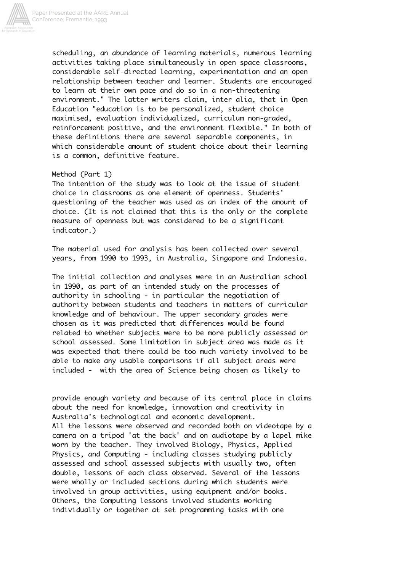

scheduling, an abundance of learning materials, numerous learning activities taking place simultaneously in open space classrooms, considerable self-directed learning, experimentation and an open relationship between teacher and learner. Students are encouraged to learn at their own pace and do so in a non-threatening environment." The latter writers claim, inter alia, that in Open Education "education is to be personalized, student choice maximised, evaluation individualized, curriculum non-graded, reinforcement positive, and the environment flexible." In both of these definitions there are several separable components, in which considerable amount of student choice about their learning is a common, definitive feature.

### Method (Part 1)

The intention of the study was to look at the issue of student choice in classrooms as one element of openness. Students' questioning of the teacher was used as an index of the amount of choice. (It is not claimed that this is the only or the complete measure of openness but was considered to be a significant indicator.)

The material used for analysis has been collected over several years, from 1990 to 1993, in Australia, Singapore and Indonesia.

The initial collection and analyses were in an Australian school in 1990, as part of an intended study on the processes of authority in schooling - in particular the negotiation of authority between students and teachers in matters of curricular knowledge and of behaviour. The upper secondary grades were chosen as it was predicted that differences would be found related to whether subjects were to be more publicly assessed or school assessed. Some limitation in subject area was made as it was expected that there could be too much variety involved to be able to make any usable comparisons if all subject areas were included - with the area of Science being chosen as likely to

provide enough variety and because of its central place in claims about the need for knowledge, innovation and creativity in Australia's technological and economic development. All the lessons were observed and recorded both on videotape by a camera on a tripod 'at the back' and on audiotape by a lapel mike worn by the teacher. They involved Biology, Physics, Applied Physics, and Computing - including classes studying publicly assessed and school assessed subjects with usually two, often double, lessons of each class observed. Several of the lessons were wholly or included sections during which students were involved in group activities, using equipment and/or books. Others, the Computing lessons involved students working individually or together at set programming tasks with one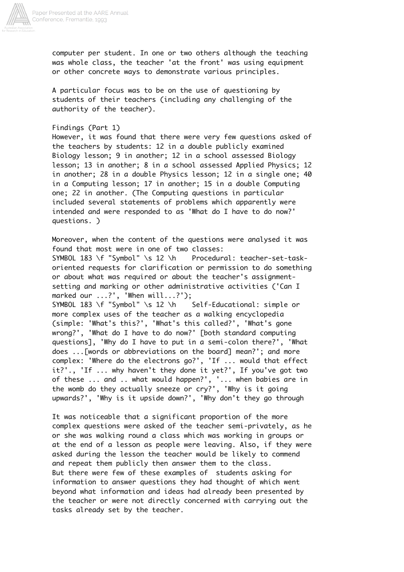

computer per student. In one or two others although the teaching was whole class, the teacher 'at the front' was using equipment or other concrete ways to demonstrate various principles.

A particular focus was to be on the use of questioning by students of their teachers (including any challenging of the authority of the teacher).

Findings (Part 1)

However, it was found that there were very few questions asked of the teachers by students: 12 in a double publicly examined Biology lesson; 9 in another; 12 in a school assessed Biology lesson; 13 in another; 8 in a school assessed Applied Physics; 12 in another; 28 in a double Physics lesson; 12 in a single one; 40 in a Computing lesson; 17 in another; 15 in a double Computing one; 22 in another. (The Computing questions in particular included several statements of problems which apparently were intended and were responded to as 'What do I have to do now?' questions. )

Moreover, when the content of the questions were analysed it was found that most were in one of two classes: SYMBOL 183 \f "Symbol" \s 12 \h Procedural: teacher-set-taskoriented requests for clarification or permission to do something or about what was required or about the teacher's assignmentsetting and marking or other administrative activities ('Can I marked our ...?', 'When will...?'); SYMBOL 183 \f "Symbol" \s 12 \h Self-Educational: simple or more complex uses of the teacher as a walking encyclopedia (simple: 'What's this?', 'What's this called?', 'What's gone wrong?', 'What do I have to do now?' [both standard computing questions], 'Why do I have to put in a semi-colon there?', 'What does ...[words or abbreviations on the board] mean?'; and more complex: 'Where do the electrons go?', 'If ... would that effect it?'., 'If ... why haven't they done it yet?', If you've got two of these ... and .. what would happen?', '... when babies are in the womb do they actually sneeze or cry?', 'Why is it going upwards?', 'Why is it upside down?', 'Why don't they go through

It was noticeable that a significant proportion of the more complex questions were asked of the teacher semi-privately, as he or she was walking round a class which was working in groups or at the end of a lesson as people were leaving. Also, if they were asked during the lesson the teacher would be likely to commend and repeat them publicly then answer them to the class. But there were few of these examples of students asking for information to answer questions they had thought of which went beyond what information and ideas had already been presented by the teacher or were not directly concerned with carrying out the tasks already set by the teacher.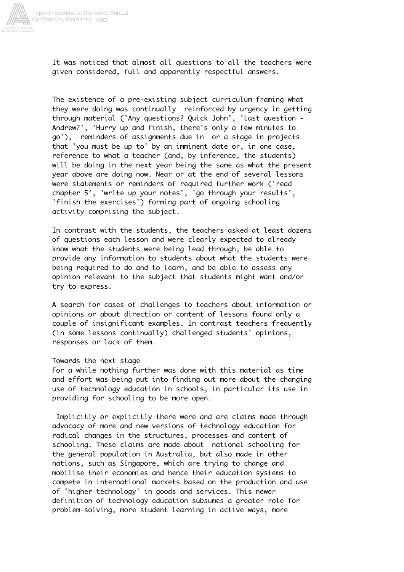

It was noticed that almost all questions to all the teachers were given considered, full and apparently respectful answers.

The existence of a pre-existing subject curriculum framing what they were doing was continually reinforced by urgency in getting through material ('Any questions? Quick John', 'Last question - Andrew?', 'Hurry up and finish, there's only a few minutes to go'), reminders of assignments due in or a stage in projects that 'you must be up to' by an imminent date or, in one case, reference to what a teacher (and, by inference, the students) will be doing in the next year being the same as what the present year above are doing now. Near or at the end of several lessons were statements or reminders of required further work ('read chapter 5', 'write up your notes', 'go through your results', 'finish the exercises') forming part of ongoing schooling activity comprising the subject.

In contrast with the students, the teachers asked at least dozens of questions each lesson and were clearly expected to already know what the students were being lead through, be able to provide any information to students about what the students were being required to do and to learn, and be able to assess any opinion relevant to the subject that students might want and/or try to express.

A search for cases of challenges to teachers about information or opinions or about direction or content of lessons found only a couple of insignificant examples. In contrast teachers frequently (in some lessons continually) challenged students' opinions, responses or lack of them.

#### Towards the next stage

For a while nothing further was done with this material as time and effort was being put into finding out more about the changing use of technology education in schools, in particular its use in providing for schooling to be more open.

 Implicitly or explicitly there were and are claims made through advocacy of more and new versions of technology education for radical changes in the structures, processes and content of schooling. These claims are made about national schooling for the general population in Australia, but also made in other nations, such as Singapore, which are trying to change and mobilise their economies and hence their education systems to compete in international markets based on the production and use of 'higher technology' in goods and services. This newer definition of technology education subsumes a greater role for problem-solving, more student learning in active ways, more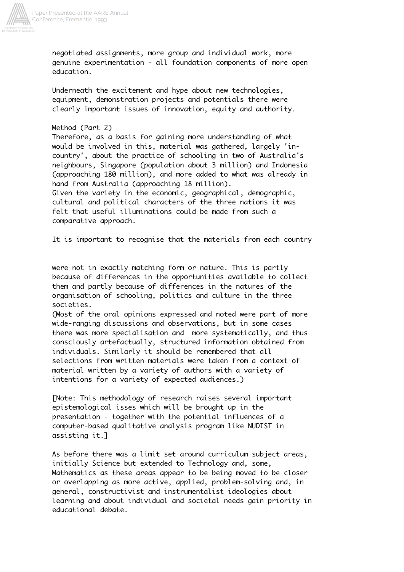

negotiated assignments, more group and individual work, more genuine experimentation - all foundation components of more open education.

Underneath the excitement and hype about new technologies, equipment, demonstration projects and potentials there were clearly important issues of innovation, equity and authority.

# Method (Part 2)

Therefore, as a basis for gaining more understanding of what would be involved in this, material was gathered, largely 'incountry', about the practice of schooling in two of Australia's neighbours, Singapore (population about 3 million) and Indonesia (approaching 180 million), and more added to what was already in hand from Australia (approaching 18 million).

Given the variety in the economic, geographical, demographic, cultural and political characters of the three nations it was felt that useful illuminations could be made from such a comparative approach.

It is important to recognise that the materials from each country

were not in exactly matching form or nature. This is partly because of differences in the opportunities available to collect them and partly because of differences in the natures of the organisation of schooling, politics and culture in the three societies.

(Most of the oral opinions expressed and noted were part of more wide-ranging discussions and observations, but in some cases there was more specialisation and more systematically, and thus consciously artefactually, structured information obtained from individuals. Similarly it should be remembered that all selections from written materials were taken from a context of material written by a variety of authors with a variety of intentions for a variety of expected audiences.)

[Note: This methodology of research raises several important epistemological isses which will be brought up in the presentation - together with the potential influences of a computer-based qualitative analysis program like NUDIST in assisting it.]

As before there was a limit set around curriculum subject areas, initially Science but extended to Technology and, some, Mathematics as these areas appear to be being moved to be closer or overlapping as more active, applied, problem-solving and, in general, constructivist and instrumentalist ideologies about learning and about individual and societal needs gain priority in educational debate.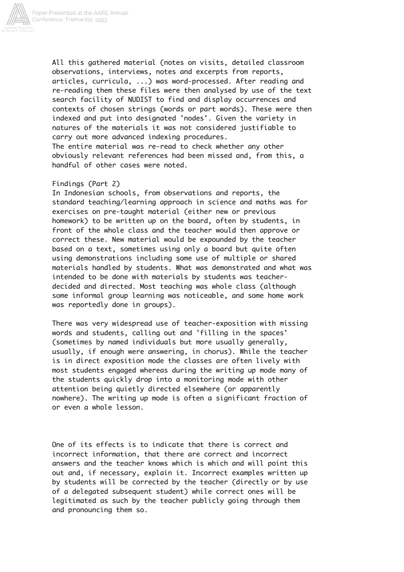

All this gathered material (notes on visits, detailed classroom observations, interviews, notes and excerpts from reports, articles, curricula, ...) was word-processed. After reading and re-reading them these files were then analysed by use of the text search facility of NUDIST to find and display occurrences and contexts of chosen strings (words or part words). These were then indexed and put into designated 'nodes'. Given the variety in natures of the materials it was not considered justifiable to carry out more advanced indexing procedures. The entire material was re-read to check whether any other obviously relevant references had been missed and, from this, a

### Findings (Part 2)

handful of other cases were noted.

In Indonesian schools, from observations and reports, the standard teaching/learning approach in science and maths was for exercises on pre-taught material (either new or previous homework) to be written up on the board, often by students, in front of the whole class and the teacher would then approve or correct these. New material would be expounded by the teacher based on a text, sometimes using only a board but quite often using demonstrations including some use of multiple or shared materials handled by students. What was demonstrated and what was intended to be done with materials by students was teacherdecided and directed. Most teaching was whole class (although some informal group learning was noticeable, and some home work was reportedly done in groups).

There was very widespread use of teacher-exposition with missing words and students, calling out and 'filling in the spaces' (sometimes by named individuals but more usually generally, usually, if enough were answering, in chorus). While the teacher is in direct exposition mode the classes are often lively with most students engaged whereas during the writing up mode many of the students quickly drop into a monitoring mode with other attention being quietly directed elsewhere (or apparently nowhere). The writing up mode is often a significant fraction of or even a whole lesson.

One of its effects is to indicate that there is correct and incorrect information, that there are correct and incorrect answers and the teacher knows which is which and will point this out and, if necessary, explain it. Incorrect examples written up by students will be corrected by the teacher (directly or by use of a delegated subsequent student) while correct ones will be legitimated as such by the teacher publicly going through them and pronouncing them so.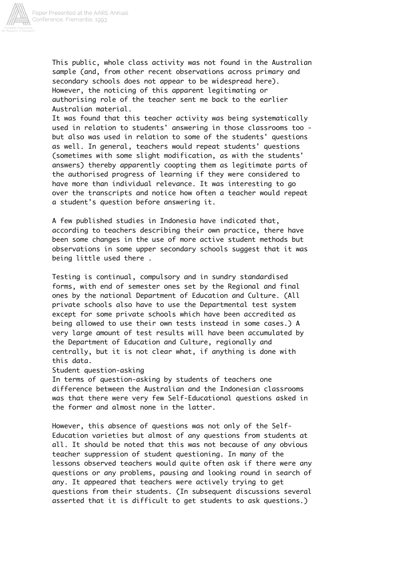

This public, whole class activity was not found in the Australian sample (and, from other recent observations across primary and secondary schools does not appear to be widespread here). However, the noticing of this apparent legitimating or authorising role of the teacher sent me back to the earlier Australian material.

It was found that this teacher activity was being systematically used in relation to students' answering in those classrooms too but also was used in relation to some of the students' questions as well. In general, teachers would repeat students' questions (sometimes with some slight modification, as with the students' answers) thereby apparently coopting them as legitimate parts of the authorised progress of learning if they were considered to have more than individual relevance. It was interesting to go over the transcripts and notice how often a teacher would repeat a student's question before answering it.

A few published studies in Indonesia have indicated that, according to teachers describing their own practice, there have been some changes in the use of more active student methods but observations in some upper secondary schools suggest that it was being little used there .

Testing is continual, compulsory and in sundry standardised forms, with end of semester ones set by the Regional and final ones by the national Department of Education and Culture. (All private schools also have to use the Departmental test system except for some private schools which have been accredited as being allowed to use their own tests instead in some cases.) A very large amount of test results will have been accumulated by the Department of Education and Culture, regionally and centrally, but it is not clear what, if anything is done with this data.

Student question-asking

In terms of question-asking by students of teachers one difference between the Australian and the Indonesian classrooms was that there were very few Self-Educational questions asked in the former and almost none in the latter.

However, this absence of questions was not only of the Self-Education varieties but almost of any questions from students at all. It should be noted that this was not because of any obvious teacher suppression of student questioning. In many of the lessons observed teachers would quite often ask if there were any questions or any problems, pausing and looking round in search of any. It appeared that teachers were actively trying to get questions from their students. (In subsequent discussions several asserted that it is difficult to get students to ask questions.)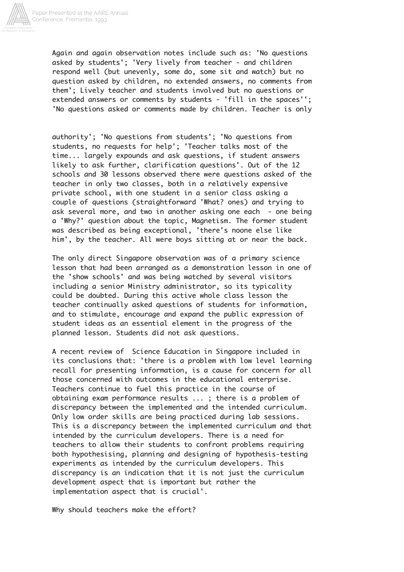

Again and again observation notes include such as: 'No questions asked by students'; 'Very lively from teacher - and children respond well (but unevenly, some do, some sit and watch) but no question asked by children, no extended answers, no comments from them'; Lively teacher and students involved but no questions or extended answers or comments by students - 'fill in the spaces''; 'No questions asked or comments made by children. Teacher is only

authority'; 'No questions from students'; 'No questions from students, no requests for help'; 'Teacher talks most of the time... largely expounds and ask questions, if student answers likely to ask further, clarification questions'. Out of the 12 schools and 30 lessons observed there were questions asked of the teacher in only two classes, both in a relatively expensive private school, with one student in a senior class asking a couple of questions (straightforward 'What? ones) and trying to ask several more, and two in another asking one each - one being a 'Why?' question about the topic, Magnetism. The former student was described as being exceptional, 'there's noone else like him', by the teacher. All were boys sitting at or near the back.

The only direct Singapore observation was of a primary science lesson that had been arranged as a demonstration lesson in one of the 'show schools' and was being watched by several visitors including a senior Ministry administrator, so its typicality could be doubted. During this active whole class lesson the teacher continually asked questions of students for information, and to stimulate, encourage and expand the public expression of student ideas as an essential element in the progress of the planned lesson. Students did not ask questions.

A recent review of Science Education in Singapore included in its conclusions that: 'there is a problem with low level learning recall for presenting information, is a cause for concern for all those concerned with outcomes in the educational enterprise. Teachers continue to fuel this practice in the course of obtaining exam performance results ... ; there is a problem of discrepancy between the implemented and the intended curriculum. Only low order skills are being practiced during lab sessions. This is a discrepancy between the implemented curriculum and that intended by the curriculum developers. There is a need for teachers to allow their students to confront problems requiring both hypothesising, planning and designing of hypothesis-testing experiments as intended by the curriculum developers. This discrepancy is an indication that it is not just the curriculum development aspect that is important but rather the implementation aspect that is crucial'.

Why should teachers make the effort?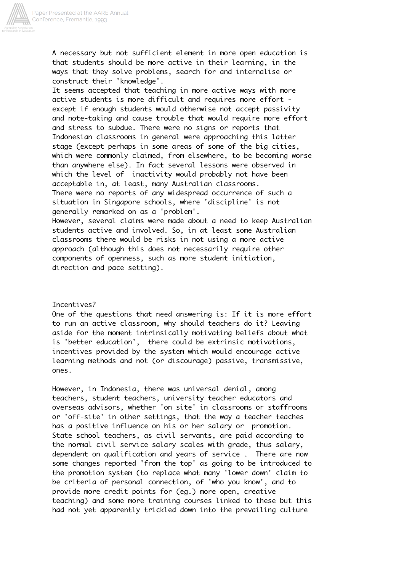

A necessary but not sufficient element in more open education is that students should be more active in their learning, in the ways that they solve problems, search for and internalise or construct their 'knowledge'.

It seems accepted that teaching in more active ways with more active students is more difficult and requires more effort except if enough students would otherwise not accept passivity and note-taking and cause trouble that would require more effort and stress to subdue. There were no signs or reports that Indonesian classrooms in general were approaching this latter stage (except perhaps in some areas of some of the big cities, which were commonly claimed, from elsewhere, to be becoming worse than anywhere else). In fact several lessons were observed in which the level of inactivity would probably not have been acceptable in, at least, many Australian classrooms. There were no reports of any widespread occurrence of such a situation in Singapore schools, where 'discipline' is not generally remarked on as a 'problem'.

However, several claims were made about a need to keep Australian students active and involved. So, in at least some Australian classrooms there would be risks in not using a more active approach (although this does not necessarily require other components of openness, such as more student initiation, direction and pace setting).

### Incentives?

One of the questions that need answering is: If it is more effort to run an active classroom, why should teachers do it? Leaving aside for the moment intrinsically motivating beliefs about what is 'better education', there could be extrinsic motivations, incentives provided by the system which would encourage active learning methods and not (or discourage) passive, transmissive, ones.

However, in Indonesia, there was universal denial, among teachers, student teachers, university teacher educators and overseas advisors, whether 'on site' in classrooms or staffrooms or 'off-site' in other settings, that the way a teacher teaches has a positive influence on his or her salary or promotion. State school teachers, as civil servants, are paid according to the normal civil service salary scales with grade, thus salary, dependent on qualification and years of service . There are now some changes reported 'from the top' as going to be introduced to the promotion system (to replace what many 'lower down' claim to be criteria of personal connection, of 'who you know', and to provide more credit points for (eg.) more open, creative teaching) and some more training courses linked to these but this had not yet apparently trickled down into the prevailing culture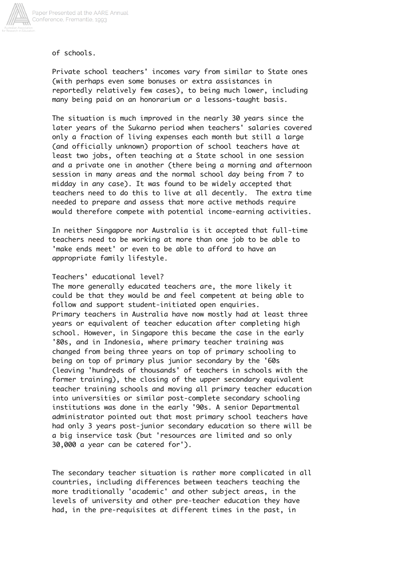

of schools.

Private school teachers' incomes vary from similar to State ones (with perhaps even some bonuses or extra assistances in reportedly relatively few cases), to being much lower, including many being paid on an honorarium or a lessons-taught basis.

The situation is much improved in the nearly 30 years since the later years of the Sukarno period when teachers' salaries covered only a fraction of living expenses each month but still a large (and officially unknown) proportion of school teachers have at least two jobs, often teaching at a State school in one session and a private one in another (there being a morning and afternoon session in many areas and the normal school day being from 7 to midday in any case). It was found to be widely accepted that teachers need to do this to live at all decently. The extra time needed to prepare and assess that more active methods require would therefore compete with potential income-earning activities.

In neither Singapore nor Australia is it accepted that full-time teachers need to be working at more than one job to be able to 'make ends meet' or even to be able to afford to have an appropriate family lifestyle.

### Teachers' educational level?

The more generally educated teachers are, the more likely it could be that they would be and feel competent at being able to follow and support student-initiated open enquiries. Primary teachers in Australia have now mostly had at least three years or equivalent of teacher education after completing high school. However, in Singapore this became the case in the early '80s, and in Indonesia, where primary teacher training was changed from being three years on top of primary schooling to being on top of primary plus junior secondary by the '60s (leaving 'hundreds of thousands' of teachers in schools with the former training), the closing of the upper secondary equivalent teacher training schools and moving all primary teacher education into universities or similar post-complete secondary schooling institutions was done in the early '90s. A senior Departmental administrator pointed out that most primary school teachers have had only 3 years post-junior secondary education so there will be a big inservice task (but 'resources are limited and so only 30,000 a year can be catered for').

The secondary teacher situation is rather more complicated in all countries, including differences between teachers teaching the more traditionally 'academic' and other subject areas, in the levels of university and other pre-teacher education they have had, in the pre-requisites at different times in the past, in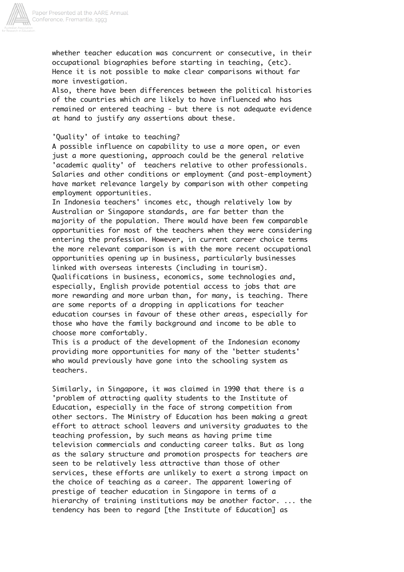

whether teacher education was concurrent or consecutive, in their occupational biographies before starting in teaching, (etc). Hence it is not possible to make clear comparisons without far more investigation.

Also, there have been differences between the political histories of the countries which are likely to have influenced who has remained or entered teaching - but there is not adequate evidence at hand to justify any assertions about these.

### 'Quality' of intake to teaching?

A possible influence on capability to use a more open, or even just a more questioning, approach could be the general relative 'academic quality' of teachers relative to other professionals. Salaries and other conditions or employment (and post-employment) have market relevance largely by comparison with other competing employment opportunities.

In Indonesia teachers' incomes etc, though relatively low by Australian or Singapore standards, are far better than the majority of the population. There would have been few comparable opportunities for most of the teachers when they were considering entering the profession. However, in current career choice terms the more relevant comparison is with the more recent occupational opportunities opening up in business, particularly businesses linked with overseas interests (including in tourism). Qualifications in business, economics, some technologies and, especially, English provide potential access to jobs that are more rewarding and more urban than, for many, is teaching. There are some reports of a dropping in applications for teacher education courses in favour of these other areas, especially for those who have the family background and income to be able to choose more comfortably.

This is a product of the development of the Indonesian economy providing more opportunities for many of the 'better students' who would previously have gone into the schooling system as teachers.

Similarly, in Singapore, it was claimed in 1990 that there is a 'problem of attracting quality students to the Institute of Education, especially in the face of strong competition from other sectors. The Ministry of Education has been making a great effort to attract school leavers and university graduates to the teaching profession, by such means as having prime time television commercials and conducting career talks. But as long as the salary structure and promotion prospects for teachers are seen to be relatively less attractive than those of other services, these efforts are unlikely to exert a strong impact on the choice of teaching as a career. The apparent lowering of prestige of teacher education in Singapore in terms of a hierarchy of training institutions may be another factor. ... the tendency has been to regard [the Institute of Education] as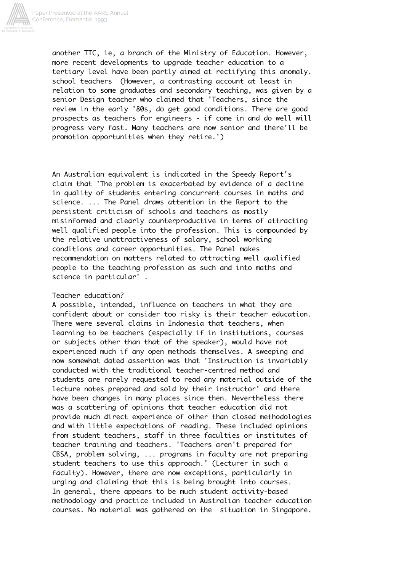

another TTC, ie, a branch of the Ministry of Education. However, more recent developments to upgrade teacher education to a tertiary level have been partly aimed at rectifying this anomaly. school teachers (However, a contrasting account at least in relation to some graduates and secondary teaching, was given by a senior Design teacher who claimed that 'Teachers, since the review in the early '80s, do get good conditions. There are good prospects as teachers for engineers - if come in and do well will progress very fast. Many teachers are now senior and there'll be promotion opportunities when they retire.')

An Australian equivalent is indicated in the Speedy Report's claim that 'The problem is exacerbated by evidence of a decline in quality of students entering concurrent courses in maths and science. ... The Panel draws attention in the Report to the persistent criticism of schools and teachers as mostly misinformed and clearly counterproductive in terms of attracting well qualified people into the profession. This is compounded by the relative unattractiveness of salary, school working conditions and career opportunities. The Panel makes recommendation on matters related to attracting well qualified people to the teaching profession as such and into maths and science in particular' .

## Teacher education?

A possible, intended, influence on teachers in what they are confident about or consider too risky is their teacher education. There were several claims in Indonesia that teachers, when learning to be teachers (especially if in institutions, courses or subjects other than that of the speaker), would have not experienced much if any open methods themselves. A sweeping and now somewhat dated assertion was that 'Instruction is invariably conducted with the traditional teacher-centred method and students are rarely requested to read any material outside of the lecture notes prepared and sold by their instructor' and there have been changes in many places since then. Nevertheless there was a scattering of opinions that teacher education did not provide much direct experience of other than closed methodologies and with little expectations of reading. These included opinions from student teachers, staff in three faculties or institutes of teacher training and teachers. 'Teachers aren't prepared for CBSA, problem solving, ... programs in faculty are not preparing student teachers to use this approach.' (Lecturer in such a faculty). However, there are now exceptions, particularly in urging and claiming that this is being brought into courses. In general, there appears to be much student activity-based methodology and practice included in Australian teacher education courses. No material was gathered on the situation in Singapore.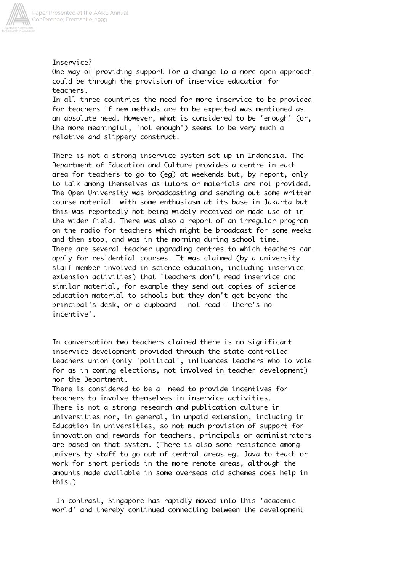

# Inservice?

One way of providing support for a change to a more open approach could be through the provision of inservice education for teachers.

In all three countries the need for more inservice to be provided for teachers if new methods are to be expected was mentioned as an absolute need. However, what is considered to be 'enough' (or, the more meaningful, 'not enough') seems to be very much a relative and slippery construct.

There is not a strong inservice system set up in Indonesia. The Department of Education and Culture provides a centre in each area for teachers to go to (eg) at weekends but, by report, only to talk among themselves as tutors or materials are not provided. The Open University was broadcasting and sending out some written course material with some enthusiasm at its base in Jakarta but this was reportedly not being widely received or made use of in the wider field. There was also a report of an irregular program on the radio for teachers which might be broadcast for some weeks and then stop, and was in the morning during school time. There are several teacher upgrading centres to which teachers can apply for residential courses. It was claimed (by a university staff member involved in science education, including inservice extension activities) that 'teachers don't read inservice and similar material, for example they send out copies of science education material to schools but they don't get beyond the principal's desk, or a cupboard - not read - there's no incentive'.

In conversation two teachers claimed there is no significant inservice development provided through the state-controlled teachers union (only 'political', influences teachers who to vote for as in coming elections, not involved in teacher development) nor the Department.

There is considered to be a need to provide incentives for teachers to involve themselves in inservice activities. There is not a strong research and publication culture in universities nor, in general, in unpaid extension, including in Education in universities, so not much provision of support for innovation and rewards for teachers, principals or administrators are based on that system. (There is also some resistance among university staff to go out of central areas eg. Java to teach or work for short periods in the more remote areas, although the amounts made available in some overseas aid schemes does help in this.)

 In contrast, Singapore has rapidly moved into this 'academic world' and thereby continued connecting between the development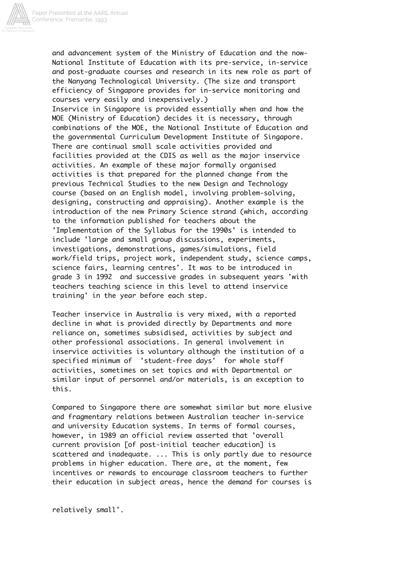

and advancement system of the Ministry of Education and the now-National Institute of Education with its pre-service, in-service and post-graduate courses and research in its new role as part of the Nanyang Technological University. (The size and transport efficiency of Singapore provides for in-service monitoring and courses very easily and inexpensively.)

Inservice in Singapore is provided essentially when and how the MOE (Ministry of Education) decides it is necessary, through combinations of the MOE, the National Institute of Education and the governmental Curriculum Development Institute of Singapore. There are continual small scale activities provided and facilities provided at the CDIS as well as the major inservice activities. An example of these major formally organised activities is that prepared for the planned change from the previous Technical Studies to the new Design and Technology course (based on an English model, involving problem-solving, designing, constructing and appraising). Another example is the introduction of the new Primary Science strand (which, according to the information published for teachers about the 'Implementation of the Syllabus for the 1990s' is intended to include 'large and small group discussions, experiments, investigations, demonstrations, games/simulations, field work/field trips, project work, independent study, science camps, science fairs, learning centres'. It was to be introduced in grade 3 in 1992 and successive grades in subsequent years 'with teachers teaching science in this level to attend inservice training' in the year before each step.

Teacher inservice in Australia is very mixed, with a reported decline in what is provided directly by Departments and more reliance on, sometimes subsidised, activities by subject and other professional associations. In general involvement in inservice activities is voluntary although the institution of a specified minimum of 'student-free days' for whole staff activities, sometimes on set topics and with Departmental or similar input of personnel and/or materials, is an exception to this.

Compared to Singapore there are somewhat similar but more elusive and fragmentary relations between Australian teacher in-service and university Education systems. In terms of formal courses, however, in 1989 an official review asserted that 'overall current provision [of post-initial teacher education] is scattered and inadequate. ... This is only partly due to resource problems in higher education. There are, at the moment, few incentives or rewards to encourage classroom teachers to further their education in subject areas, hence the demand for courses is

relatively small'.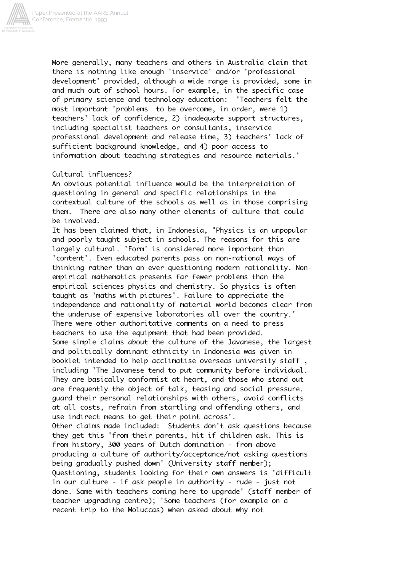

More generally, many teachers and others in Australia claim that there is nothing like enough 'inservice' and/or 'professional development' provided, although a wide range is provided, some in and much out of school hours. For example, in the specific case of primary science and technology education: 'Teachers felt the most important 'problems to be overcome, in order, were 1) teachers' lack of confidence, 2) inadequate support structures, including specialist teachers or consultants, inservice professional development and release time, 3) teachers' lack of sufficient background knowledge, and 4) poor access to information about teaching strategies and resource materials.'

## Cultural influences?

An obvious potential influence would be the interpretation of questioning in general and specific relationships in the contextual culture of the schools as well as in those comprising them. There are also many other elements of culture that could be involved.

It has been claimed that, in Indonesia, "Physics is an unpopular and poorly taught subject in schools. The reasons for this are largely cultural. 'Form' is considered more important than 'content'. Even educated parents pass on non-rational ways of thinking rather than an ever-questioning modern rationality. Nonempirical mathematics presents far fewer problems than the empirical sciences physics and chemistry. So physics is often taught as 'maths with pictures'. Failure to appreciate the independence and rationality of material world becomes clear from the underuse of expensive laboratories all over the country.' There were other authoritative comments on a need to press teachers to use the equipment that had been provided. Some simple claims about the culture of the Javanese, the largest and politically dominant ethnicity in Indonesia was given in booklet intended to help acclimatise overseas university staff , including 'The Javanese tend to put community before individual. They are basically conformist at heart, and those who stand out are frequently the object of talk, teasing and social pressure. guard their personal relationships with others, avoid conflicts at all costs, refrain from startling and offending others, and use indirect means to get their point across'. Other claims made included: Students don't ask questions because they get this 'from their parents, hit if children ask. This is from history, 300 years of Dutch domination - from above producing a culture of authority/acceptance/not asking questions being gradually pushed down' (University staff member); Questioning, students looking for their own answers is 'difficult in our culture - if ask people in authority - rude - just not done. Same with teachers coming here to upgrade' (staff member of teacher upgrading centre); 'Some teachers (for example on a recent trip to the Moluccas) when asked about why not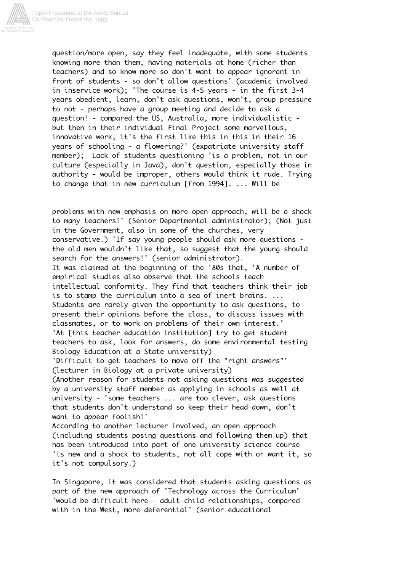

Paper Presented at the AARE Annual<br>Conference, Fremantle, 1993

question/more open, say they feel inadequate, with some students knowing more than them, having materials at home (richer than teachers) and so know more so don't want to appear ignorant in front of students - so don't allow questions' (academic involved in inservice work); 'The course is 4-5 years - in the first 3-4 years obedient, learn, don't ask questions, won't, group pressure to not - perhaps have a group meeting and decide to ask a question! - compared the US, Australia, more individualistic but then in their individual Final Project some marvellous, innovative work, it's the first like this in this in their 16 years of schooling - a flowering?' (expatriate university staff member); Lack of students questioning 'is a problem, not in our culture (especially in Java), don't question, especially those in authority - would be improper, others would think it rude. Trying to change that in new curriculum [from 1994]. ... Will be

problems with new emphasis on more open approach, will be a shock to many teachers!' (Senior Departmental administrator); (Not just in the Government, also in some of the churches, very conservative.) 'If say young people should ask more questions the old men wouldn't like that, so suggest that the young should search for the answers!' (senior administrator). It was claimed at the beginning of the '80s that, 'A number of empirical studies also observe that the schools teach intellectual conformity. They find that teachers think their job is to stamp the curriculum into a sea of inert brains. ... Students are rarely given the opportunity to ask questions, to present their opinions before the class, to discuss issues with classmates, or to work on problems of their own interest.' 'At [this teacher education institution] try to get student teachers to ask, look for answers, do some environmental testing Biology Education at a State university) 'Difficult to get teachers to move off the "right answers"' (lecturer in Biology at a private university) (Another reason for students not asking questions was suggested by a university staff member as applying in schools as well at university - 'some teachers ... are too clever, ask questions that students don't understand so keep their head down, don't want to appear foolish!' According to another lecturer involved, an open approach (including students posing questions and following them up) that has been introduced into part of one university science course 'is new and a shock to students, not all cope with or want it, so it's not compulsory.)

In Singapore, it was considered that students asking questions as part of the new approach of 'Technology across the Curriculum' 'would be difficult here - adult-child relationships, compared with in the West, more deferential' (senior educational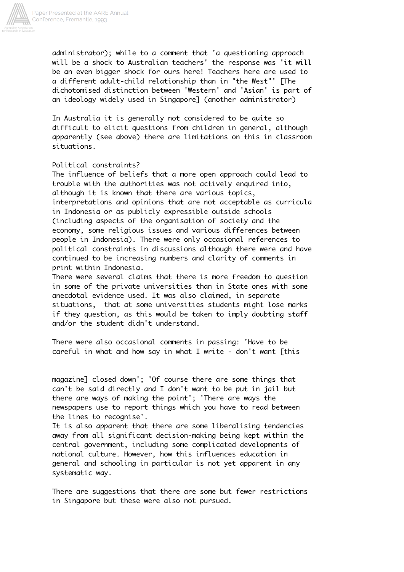

administrator); while to a comment that 'a questioning approach will be a shock to Australian teachers' the response was 'it will be an even bigger shock for ours here! Teachers here are used to a different adult-child relationship than in "the West"' [The dichotomised distinction between 'Western' and 'Asian' is part of an ideology widely used in Singapore] (another administrator)

In Australia it is generally not considered to be quite so difficult to elicit questions from children in general, although apparently (see above) there are limitations on this in classroom situations.

### Political constraints?

The influence of beliefs that a more open approach could lead to trouble with the authorities was not actively enquired into, although it is known that there are various topics, interpretations and opinions that are not acceptable as curricula in Indonesia or as publicly expressible outside schools (including aspects of the organisation of society and the economy, some religious issues and various differences between people in Indonesia). There were only occasional references to political constraints in discussions although there were and have continued to be increasing numbers and clarity of comments in print within Indonesia.

There were several claims that there is more freedom to question in some of the private universities than in State ones with some anecdotal evidence used. It was also claimed, in separate situations, that at some universities students might lose marks if they question, as this would be taken to imply doubting staff and/or the student didn't understand.

There were also occasional comments in passing: 'Have to be careful in what and how say in what I write - don't want [this

magazine] closed down'; 'Of course there are some things that can't be said directly and I don't want to be put in jail but there are ways of making the point'; 'There are ways the newspapers use to report things which you have to read between the lines to recognise'.

It is also apparent that there are some liberalising tendencies away from all significant decision-making being kept within the central government, including some complicated developments of national culture. However, how this influences education in general and schooling in particular is not yet apparent in any systematic way.

There are suggestions that there are some but fewer restrictions in Singapore but these were also not pursued.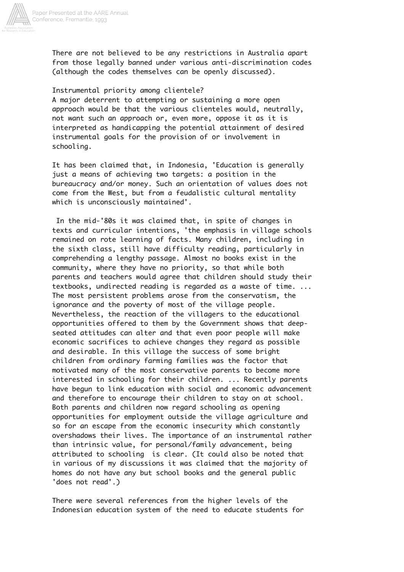

There are not believed to be any restrictions in Australia apart from those legally banned under various anti-discrimination codes (although the codes themselves can be openly discussed).

### Instrumental priority among clientele?

A major deterrent to attempting or sustaining a more open approach would be that the various clienteles would, neutrally, not want such an approach or, even more, oppose it as it is interpreted as handicapping the potential attainment of desired instrumental goals for the provision of or involvement in schooling.

It has been claimed that, in Indonesia, 'Education is generally just a means of achieving two targets: a position in the bureaucracy and/or money. Such an orientation of values does not come from the West, but from a feudalistic cultural mentality which is unconsciously maintained'.

 In the mid-'80s it was claimed that, in spite of changes in texts and curricular intentions, 'the emphasis in village schools remained on rote learning of facts. Many children, including in the sixth class, still have difficulty reading, particularly in comprehending a lengthy passage. Almost no books exist in the community, where they have no priority, so that while both parents and teachers would agree that children should study their textbooks, undirected reading is regarded as a waste of time. ... The most persistent problems arose from the conservatism, the ignorance and the poverty of most of the village people. Nevertheless, the reaction of the villagers to the educational opportunities offered to them by the Government shows that deepseated attitudes can alter and that even poor people will make economic sacrifices to achieve changes they regard as possible and desirable. In this village the success of some bright children from ordinary farming families was the factor that motivated many of the most conservative parents to become more interested in schooling for their children. ... Recently parents have begun to link education with social and economic advancement and therefore to encourage their children to stay on at school. Both parents and children now regard schooling as opening opportunities for employment outside the village agriculture and so for an escape from the economic insecurity which constantly overshadows their lives. The importance of an instrumental rather than intrinsic value, for personal/family advancement, being attributed to schooling is clear. (It could also be noted that in various of my discussions it was claimed that the majority of homes do not have any but school books and the general public 'does not read'.)

There were several references from the higher levels of the Indonesian education system of the need to educate students for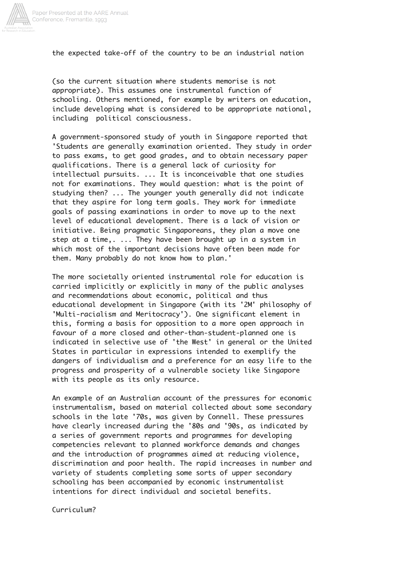

the expected take-off of the country to be an industrial nation

(so the current situation where students memorise is not appropriate). This assumes one instrumental function of schooling. Others mentioned, for example by writers on education, include developing what is considered to be appropriate national, including political consciousness.

A government-sponsored study of youth in Singapore reported that 'Students are generally examination oriented. They study in order to pass exams, to get good grades, and to obtain necessary paper qualifications. There is a general lack of curiosity for intellectual pursuits. ... It is inconceivable that one studies not for examinations. They would question: what is the point of studying then? ... The younger youth generally did not indicate that they aspire for long term goals. They work for immediate goals of passing examinations in order to move up to the next level of educational development. There is a lack of vision or initiative. Being pragmatic Singaporeans, they plan a move one step at a time,. ... They have been brought up in a system in which most of the important decisions have often been made for them. Many probably do not know how to plan.'

The more societally oriented instrumental role for education is carried implicitly or explicitly in many of the public analyses and recommendations about economic, political and thus educational development in Singapore (with its '2M' philosophy of 'Multi-racialism and Meritocracy'). One significant element in this, forming a basis for opposition to a more open approach in favour of a more closed and other-than-student-planned one is indicated in selective use of 'the West' in general or the United States in particular in expressions intended to exemplify the dangers of individualism and a preference for an easy life to the progress and prosperity of a vulnerable society like Singapore with its people as its only resource.

An example of an Australian account of the pressures for economic instrumentalism, based on material collected about some secondary schools in the late '70s, was given by Connell. These pressures have clearly increased during the '80s and '90s, as indicated by a series of government reports and programmes for developing competencies relevant to planned workforce demands and changes and the introduction of programmes aimed at reducing violence, discrimination and poor health. The rapid increases in number and variety of students completing some sorts of upper secondary schooling has been accompanied by economic instrumentalist intentions for direct individual and societal benefits.

Curriculum?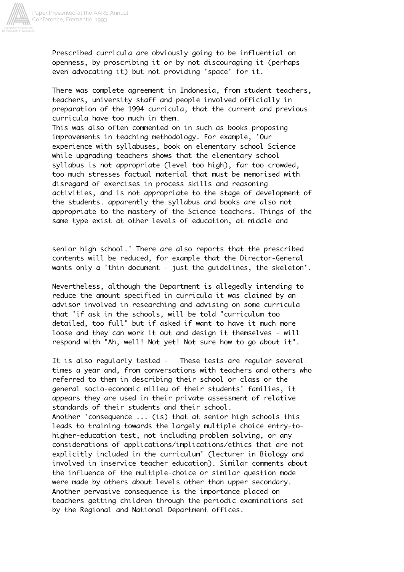

Prescribed curricula are obviously going to be influential on openness, by proscribing it or by not discouraging it (perhaps even advocating it) but not providing 'space' for it.

There was complete agreement in Indonesia, from student teachers, teachers, university staff and people involved officially in preparation of the 1994 curricula, that the current and previous curricula have too much in them. This was also often commented on in such as books proposing improvements in teaching methodology. For example, 'Our experience with syllabuses, book on elementary school Science while upgrading teachers shows that the elementary school syllabus is not appropriate (level too high), far too crowded, too much stresses factual material that must be memorised with disregard of exercises in process skills and reasoning activities, and is not appropriate to the stage of development of the students. apparently the syllabus and books are also not appropriate to the mastery of the Science teachers. Things of the same type exist at other levels of education, at middle and

senior high school.' There are also reports that the prescribed contents will be reduced, for example that the Director-General wants only a 'thin document - just the guidelines, the skeleton'.

Nevertheless, although the Department is allegedly intending to reduce the amount specified in curricula it was claimed by an advisor involved in researching and advising on some curricula that 'if ask in the schools, will be told "curriculum too detailed, too full" but if asked if want to have it much more loose and they can work it out and design it themselves - will respond with "Ah, well! Not yet! Not sure how to go about it".

It is also regularly tested - These tests are regular several times a year and, from conversations with teachers and others who referred to them in describing their school or class or the general socio-economic milieu of their students' families, it appears they are used in their private assessment of relative standards of their students and their school. Another 'consequence ... (is) that at senior high schools this leads to training towards the largely multiple choice entry-tohigher-education test, not including problem solving, or any considerations of applications/implications/ethics that are not explicitly included in the curriculum' (lecturer in Biology and involved in inservice teacher education). Similar comments about the influence of the multiple-choice or similar question mode were made by others about levels other than upper secondary. Another pervasive consequence is the importance placed on teachers getting children through the periodic examinations set by the Regional and National Department offices.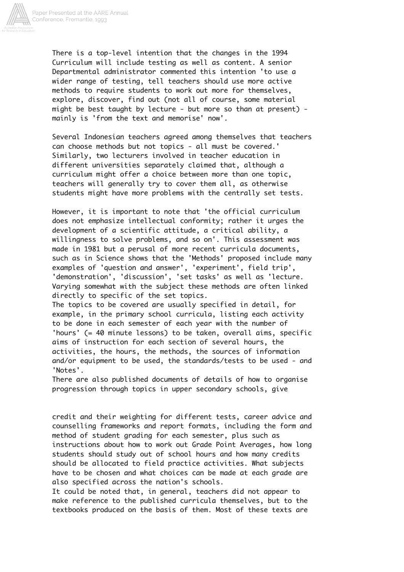

There is a top-level intention that the changes in the 1994 Curriculum will include testing as well as content. A senior Departmental administrator commented this intention 'to use a wider range of testing, tell teachers should use more active methods to require students to work out more for themselves, explore, discover, find out (not all of course, some material might be best taught by lecture - but more so than at present) mainly is 'from the text and memorise' now'.

Several Indonesian teachers agreed among themselves that teachers can choose methods but not topics - all must be covered.' Similarly, two lecturers involved in teacher education in different universities separately claimed that, although a curriculum might offer a choice between more than one topic, teachers will generally try to cover them all, as otherwise students might have more problems with the centrally set tests.

However, it is important to note that 'the official curriculum does not emphasize intellectual conformity; rather it urges the development of a scientific attitude, a critical ability, a willingness to solve problems, and so on'. This assessment was made in 1981 but a perusal of more recent curricula documents, such as in Science shows that the 'Methods' proposed include many examples of 'question and answer', 'experiment', field trip', 'demonstration', 'discussion', 'set tasks' as well as 'lecture. Varying somewhat with the subject these methods are often linked directly to specific of the set topics.

The topics to be covered are usually specified in detail, for example, in the primary school curricula, listing each activity to be done in each semester of each year with the number of 'hours' (= 40 minute lessons) to be taken, overall aims, specific aims of instruction for each section of several hours, the activities, the hours, the methods, the sources of information and/or equipment to be used, the standards/tests to be used - and 'Notes'.

There are also published documents of details of how to organise progression through topics in upper secondary schools, give

credit and their weighting for different tests, career advice and counselling frameworks and report formats, including the form and method of student grading for each semester, plus such as instructions about how to work out Grade Point Averages, how long students should study out of school hours and how many credits should be allocated to field practice activities. What subjects have to be chosen and what choices can be made at each grade are also specified across the nation's schools.

It could be noted that, in general, teachers did not appear to make reference to the published curricula themselves, but to the textbooks produced on the basis of them. Most of these texts are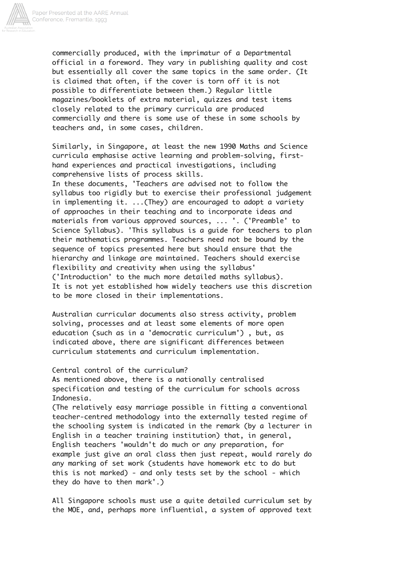

commercially produced, with the imprimatur of a Departmental official in a foreword. They vary in publishing quality and cost but essentially all cover the same topics in the same order. (It is claimed that often, if the cover is torn off it is not possible to differentiate between them.) Regular little magazines/booklets of extra material, quizzes and test items closely related to the primary curricula are produced commercially and there is some use of these in some schools by teachers and, in some cases, children.

Similarly, in Singapore, at least the new 1990 Maths and Science curricula emphasise active learning and problem-solving, firsthand experiences and practical investigations, including comprehensive lists of process skills.

In these documents, 'Teachers are advised not to follow the syllabus too rigidly but to exercise their professional judgement in implementing it. ...(They) are encouraged to adopt a variety of approaches in their teaching and to incorporate ideas and materials from various approved sources, ... '. ('Preamble' to Science Syllabus). 'This syllabus is a guide for teachers to plan their mathematics programmes. Teachers need not be bound by the sequence of topics presented here but should ensure that the hierarchy and linkage are maintained. Teachers should exercise flexibility and creativity when using the syllabus' ('Introduction' to the much more detailed maths syllabus). It is not yet established how widely teachers use this discretion to be more closed in their implementations.

Australian curricular documents also stress activity, problem solving, processes and at least some elements of more open education (such as in a 'democratic curriculum') , but, as indicated above, there are significant differences between curriculum statements and curriculum implementation.

### Central control of the curriculum?

As mentioned above, there is a nationally centralised specification and testing of the curriculum for schools across Indonesia.

(The relatively easy marriage possible in fitting a conventional teacher-centred methodology into the externally tested regime of the schooling system is indicated in the remark (by a lecturer in English in a teacher training institution) that, in general, English teachers 'wouldn't do much or any preparation, for example just give an oral class then just repeat, would rarely do any marking of set work (students have homework etc to do but this is not marked) - and only tests set by the school - which they do have to then mark'.)

All Singapore schools must use a quite detailed curriculum set by the MOE, and, perhaps more influential, a system of approved text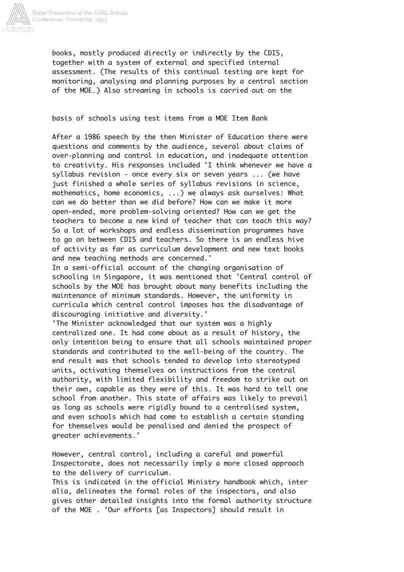

books, mostly produced directly or indirectly by the CDIS, together with a system of external and specified internal assessment. (The results of this continual testing are kept for monitoring, analysing and planning purposes by a central section of the MOE.) Also streaming in schools is carried out on the

basis of schools using test items from a MOE Item Bank

After a 1986 speech by the then Minister of Education there were questions and comments by the audience, several about claims of over-planning and control in education, and inadequate attention to creativity. His responses included 'I think whenever we have a syllabus revision - once every six or seven years ... (we have just finished a whole series of syllabus revisions in science, mathematics, home economics, ...) we always ask ourselves: What can we do better than we did before? How can we make it more open-ended, more problem-solving oriented? How can we get the teachers to become a new kind of teacher that can teach this way? So a lot of workshops and endless dissemination programmes have to go on between CDIS and teachers. So there is an endless hive of activity as far as curriculum development and new text books and new teaching methods are concerned.'

In a semi-official account of the changing organisation of schooling in Singapore, it was mentioned that 'Central control of schools by the MOE has brought about many benefits including the maintenance of minimum standards. However, the uniformity in curricula which central control imposes has the disadvantage of discouraging initiative and diversity.'

'The Minister acknowledged that our system was a highly centralized one. It had come about as a result of history, the only intention being to ensure that all schools maintained proper standards and contributed to the well-being of the country. The end result was that schools tended to develop into stereotyped units, activating themselves on instructions from the central authority, with limited flexibility and freedom to strike out on their own, capable as they were of this. It was hard to tell one school from another. This state of affairs was likely to prevail as long as schools were rigidly bound to a centralised system, and even schools which had come to establish a certain standing for themselves would be penalised and denied the prospect of greater achievements.'

However, central control, including a careful and powerful Inspectorate, does not necessarily imply a more closed approach to the delivery of curriculum.

This is indicated in the official Ministry handbook which, inter alia, delineates the formal roles of the inspectors, and also gives other detailed insights into the formal authority structure of the MOE . 'Our efforts [as Inspectors] should result in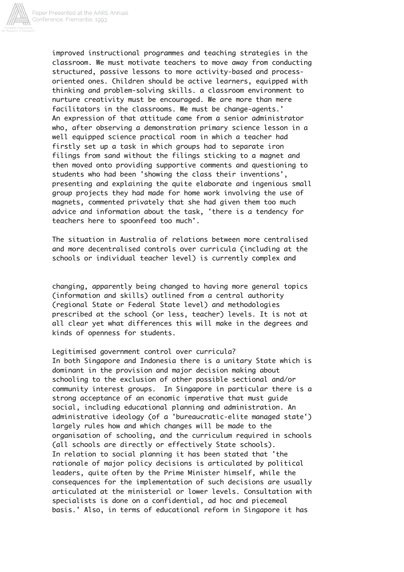

improved instructional programmes and teaching strategies in the classroom. We must motivate teachers to move away from conducting structured, passive lessons to more activity-based and processoriented ones. Children should be active learners, equipped with thinking and problem-solving skills. a classroom environment to nurture creativity must be encouraged. We are more than mere facilitators in the classrooms. We must be change-agents.' An expression of that attitude came from a senior administrator who, after observing a demonstration primary science lesson in a well equipped science practical room in which a teacher had firstly set up a task in which groups had to separate iron filings from sand without the filings sticking to a magnet and then moved onto providing supportive comments and questioning to students who had been 'showing the class their inventions', presenting and explaining the quite elaborate and ingenious small group projects they had made for home work involving the use of magnets, commented privately that she had given them too much advice and information about the task, 'there is a tendency for teachers here to spoonfeed too much'.

The situation in Australia of relations between more centralised and more decentralised controls over curricula (including at the schools or individual teacher level) is currently complex and

changing, apparently being changed to having more general topics (information and skills) outlined from a central authority (regional State or Federal State level) and methodologies prescribed at the school (or less, teacher) levels. It is not at all clear yet what differences this will make in the degrees and kinds of openness for students.

Legitimised government control over curricula? In both Singapore and Indonesia there is a unitary State which is dominant in the provision and major decision making about schooling to the exclusion of other possible sectional and/or community interest groups. In Singapore in particular there is a strong acceptance of an economic imperative that must guide social, including educational planning and administration. An administrative ideology (of a 'bureaucratic-elite managed state') largely rules how and which changes will be made to the organisation of schooling, and the curriculum required in schools (all schools are directly or effectively State schools). In relation to social planning it has been stated that 'the rationale of major policy decisions is articulated by political leaders, quite often by the Prime Minister himself, while the consequences for the implementation of such decisions are usually articulated at the ministerial or lower levels. Consultation with specialists is done on a confidential, ad hoc and piecemeal basis.' Also, in terms of educational reform in Singapore it has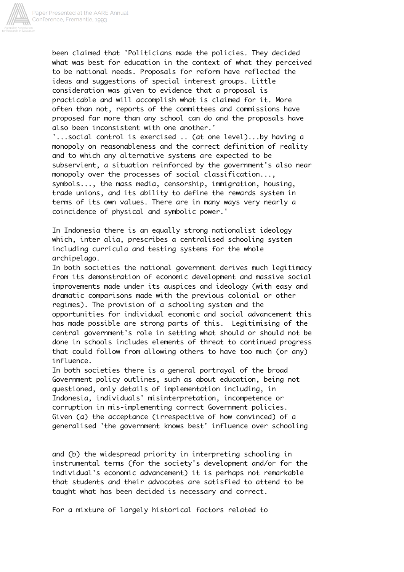

been claimed that 'Politicians made the policies. They decided what was best for education in the context of what they perceived to be national needs. Proposals for reform have reflected the ideas and suggestions of special interest groups. Little consideration was given to evidence that a proposal is practicable and will accomplish what is claimed for it. More often than not, reports of the committees and commissions have proposed far more than any school can do and the proposals have also been inconsistent with one another.'

'...social control is exercised .. (at one level)...by having a monopoly on reasonableness and the correct definition of reality and to which any alternative systems are expected to be subservient, a situation reinforced by the government's also near monopoly over the processes of social classification..., symbols..., the mass media, censorship, immigration, housing, trade unions, and its ability to define the rewards system in terms of its own values. There are in many ways very nearly a coincidence of physical and symbolic power.'

In Indonesia there is an equally strong nationalist ideology which, inter alia, prescribes a centralised schooling system including curricula and testing systems for the whole archipelago.

In both societies the national government derives much legitimacy from its demonstration of economic development and massive social improvements made under its auspices and ideology (with easy and dramatic comparisons made with the previous colonial or other regimes). The provision of a schooling system and the opportunities for individual economic and social advancement this has made possible are strong parts of this. Legitimising of the central government's role in setting what should or should not be done in schools includes elements of threat to continued progress that could follow from allowing others to have too much (or any) influence.

In both societies there is a general portrayal of the broad Government policy outlines, such as about education, being not questioned, only details of implementation including, in Indonesia, individuals' misinterpretation, incompetence or corruption in mis-implementing correct Government policies. Given (a) the acceptance (irrespective of how convinced) of a generalised 'the government knows best' influence over schooling

and (b) the widespread priority in interpreting schooling in instrumental terms (for the society's development and/or for the individual's economic advancement) it is perhaps not remarkable that students and their advocates are satisfied to attend to be taught what has been decided is necessary and correct.

For a mixture of largely historical factors related to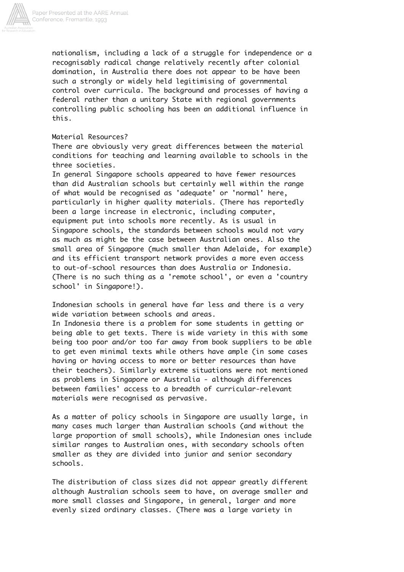

nationalism, including a lack of a struggle for independence or a recognisably radical change relatively recently after colonial domination, in Australia there does not appear to be have been such a strongly or widely held legitimising of governmental control over curricula. The background and processes of having a federal rather than a unitary State with regional governments controlling public schooling has been an additional influence in this.

## Material Resources?

There are obviously very great differences between the material conditions for teaching and learning available to schools in the three societies.

In general Singapore schools appeared to have fewer resources than did Australian schools but certainly well within the range of what would be recognised as 'adequate' or 'normal' here, particularly in higher quality materials. (There has reportedly been a large increase in electronic, including computer, equipment put into schools more recently. As is usual in Singapore schools, the standards between schools would not vary as much as might be the case between Australian ones. Also the small area of Singapore (much smaller than Adelaide, for example) and its efficient transport network provides a more even access to out-of-school resources than does Australia or Indonesia. (There is no such thing as a 'remote school', or even a 'country school' in Singapore!).

Indonesian schools in general have far less and there is a very wide variation between schools and areas.

In Indonesia there is a problem for some students in getting or being able to get texts. There is wide variety in this with some being too poor and/or too far away from book suppliers to be able to get even minimal texts while others have ample (in some cases having or having access to more or better resources than have their teachers). Similarly extreme situations were not mentioned as problems in Singapore or Australia - although differences between families' access to a breadth of curricular-relevant materials were recognised as pervasive.

As a matter of policy schools in Singapore are usually large, in many cases much larger than Australian schools (and without the large proportion of small schools), while Indonesian ones include similar ranges to Australian ones, with secondary schools often smaller as they are divided into junior and senior secondary schools.

The distribution of class sizes did not appear greatly different although Australian schools seem to have, on average smaller and more small classes and Singapore, in general, larger and more evenly sized ordinary classes. (There was a large variety in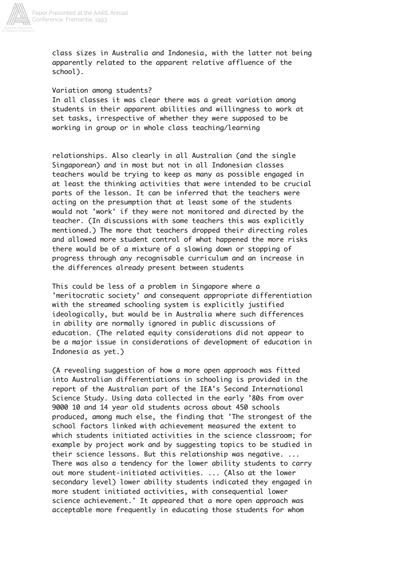

class sizes in Australia and Indonesia, with the latter not being apparently related to the apparent relative affluence of the school).

### Variation among students?

In all classes it was clear there was a great variation among students in their apparent abilities and willingness to work at set tasks, irrespective of whether they were supposed to be working in group or in whole class teaching/learning

relationships. Also clearly in all Australian (and the single Singaporean) and in most but not in all Indonesian classes teachers would be trying to keep as many as possible engaged in at least the thinking activities that were intended to be crucial parts of the lesson. It can be inferred that the teachers were acting on the presumption that at least some of the students would not 'work' if they were not monitored and directed by the teacher. (In discussions with some teachers this was explicitly mentioned.) The more that teachers dropped their directing roles and allowed more student control of what happened the more risks there would be of a mixture of a slowing down or stopping of progress through any recognisable curriculum and an increase in the differences already present between students

This could be less of a problem in Singapore where a 'meritocratic society' and consequent appropriate differentiation with the streamed schooling system is explicitly justified ideologically, but would be in Australia where such differences in ability are normally ignored in public discussions of education. (The related equity considerations did not appear to be a major issue in considerations of development of education in Indonesia as yet.)

(A revealing suggestion of how a more open approach was fitted into Australian differentiations in schooling is provided in the report of the Australian part of the IEA's Second International Science Study. Using data collected in the early '80s from over 9000 10 and 14 year old students across about 450 schools produced, among much else, the finding that 'The strongest of the school factors linked with achievement measured the extent to which students initiated activities in the science classroom; for example by project work and by suggesting topics to be studied in their science lessons. But this relationship was negative. ... There was also a tendency for the lower ability students to carry out more student-initiated activities. ... (Also at the lower secondary level) lower ability students indicated they engaged in more student initiated activities, with consequential lower science achievement.' It appeared that a more open approach was acceptable more frequently in educating those students for whom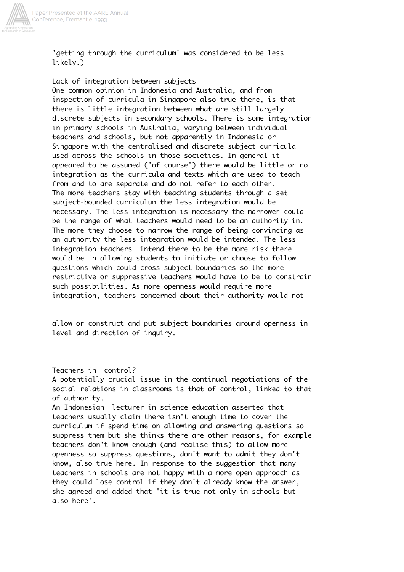

'getting through the curriculum' was considered to be less likely.)

### Lack of integration between subjects

One common opinion in Indonesia and Australia, and from inspection of curricula in Singapore also true there, is that there is little integration between what are still largely discrete subjects in secondary schools. There is some integration in primary schools in Australia, varying between individual teachers and schools, but not apparently in Indonesia or Singapore with the centralised and discrete subject curricula used across the schools in those societies. In general it appeared to be assumed ('of course') there would be little or no integration as the curricula and texts which are used to teach from and to are separate and do not refer to each other. The more teachers stay with teaching students through a set subject-bounded curriculum the less integration would be necessary. The less integration is necessary the narrower could be the range of what teachers would need to be an authority in. The more they choose to narrow the range of being convincing as an authority the less integration would be intended. The less integration teachers intend there to be the more risk there would be in allowing students to initiate or choose to follow questions which could cross subject boundaries so the more restrictive or suppressive teachers would have to be to constrain such possibilities. As more openness would require more integration, teachers concerned about their authority would not

allow or construct and put subject boundaries around openness in level and direction of inquiry.

Teachers in control?

A potentially crucial issue in the continual negotiations of the social relations in classrooms is that of control, linked to that of authority.

An Indonesian lecturer in science education asserted that teachers usually claim there isn't enough time to cover the curriculum if spend time on allowing and answering questions so suppress them but she thinks there are other reasons, for example teachers don't know enough (and realise this) to allow more openness so suppress questions, don't want to admit they don't know, also true here. In response to the suggestion that many teachers in schools are not happy with a more open approach as they could lose control if they don't already know the answer, she agreed and added that 'it is true not only in schools but also here'.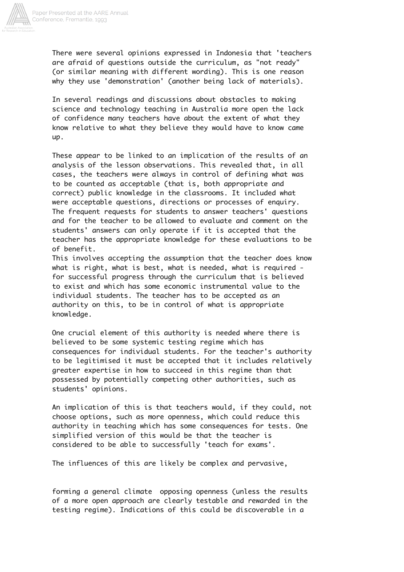

There were several opinions expressed in Indonesia that 'teachers are afraid of questions outside the curriculum, as "not ready" (or similar meaning with different wording). This is one reason why they use 'demonstration' (another being lack of materials).

In several readings and discussions about obstacles to making science and technology teaching in Australia more open the lack of confidence many teachers have about the extent of what they know relative to what they believe they would have to know came up.

These appear to be linked to an implication of the results of an analysis of the lesson observations. This revealed that, in all cases, the teachers were always in control of defining what was to be counted as acceptable (that is, both appropriate and correct) public knowledge in the classrooms. It included what were acceptable questions, directions or processes of enquiry. The frequent requests for students to answer teachers' questions and for the teacher to be allowed to evaluate and comment on the students' answers can only operate if it is accepted that the teacher has the appropriate knowledge for these evaluations to be of benefit.

This involves accepting the assumption that the teacher does know what is right, what is best, what is needed, what is required for successful progress through the curriculum that is believed to exist and which has some economic instrumental value to the individual students. The teacher has to be accepted as an authority on this, to be in control of what is appropriate knowledge.

One crucial element of this authority is needed where there is believed to be some systemic testing regime which has consequences for individual students. For the teacher's authority to be legitimised it must be accepted that it includes relatively greater expertise in how to succeed in this regime than that possessed by potentially competing other authorities, such as students' opinions.

An implication of this is that teachers would, if they could, not choose options, such as more openness, which could reduce this authority in teaching which has some consequences for tests. One simplified version of this would be that the teacher is considered to be able to successfully 'teach for exams'.

The influences of this are likely be complex and pervasive,

forming a general climate opposing openness (unless the results of a more open approach are clearly testable and rewarded in the testing regime). Indications of this could be discoverable in a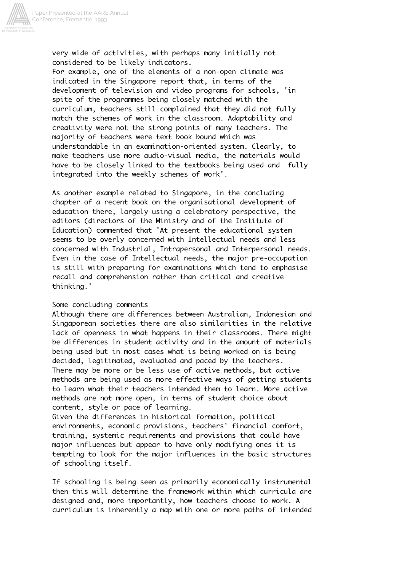

very wide of activities, with perhaps many initially not considered to be likely indicators.

For example, one of the elements of a non-open climate was indicated in the Singapore report that, in terms of the development of television and video programs for schools, 'in spite of the programmes being closely matched with the curriculum, teachers still complained that they did not fully match the schemes of work in the classroom. Adaptability and creativity were not the strong points of many teachers. The majority of teachers were text book bound which was understandable in an examination-oriented system. Clearly, to make teachers use more audio-visual media, the materials would have to be closely linked to the textbooks being used and fully integrated into the weekly schemes of work'.

As another example related to Singapore, in the concluding chapter of a recent book on the organisational development of education there, largely using a celebratory perspective, the editors (directors of the Ministry and of the Institute of Education) commented that 'At present the educational system seems to be overly concerned with Intellectual needs and less concerned with Industrial, Intrapersonal and Interpersonal needs. Even in the case of Intellectual needs, the major pre-occupation is still with preparing for examinations which tend to emphasise recall and comprehension rather than critical and creative thinking.'

### Some concluding comments

Although there are differences between Australian, Indonesian and Singaporean societies there are also similarities in the relative lack of openness in what happens in their classrooms. There might be differences in student activity and in the amount of materials being used but in most cases what is being worked on is being decided, legitimated, evaluated and paced by the teachers. There may be more or be less use of active methods, but active methods are being used as more effective ways of getting students to learn what their teachers intended them to learn. More active methods are not more open, in terms of student choice about content, style or pace of learning.

Given the differences in historical formation, political environments, economic provisions, teachers' financial comfort, training, systemic requirements and provisions that could have major influences but appear to have only modifying ones it is tempting to look for the major influences in the basic structures of schooling itself.

If schooling is being seen as primarily economically instrumental then this will determine the framework within which curricula are designed and, more importantly, how teachers choose to work. A curriculum is inherently a map with one or more paths of intended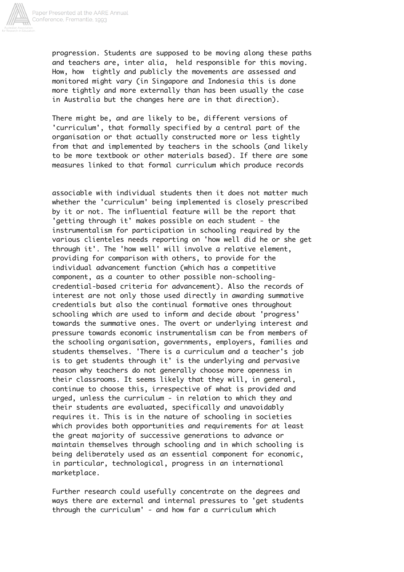

progression. Students are supposed to be moving along these paths and teachers are, inter alia, held responsible for this moving. How, how tightly and publicly the movements are assessed and monitored might vary (in Singapore and Indonesia this is done more tightly and more externally than has been usually the case in Australia but the changes here are in that direction).

There might be, and are likely to be, different versions of 'curriculum', that formally specified by a central part of the organisation or that actually constructed more or less tightly from that and implemented by teachers in the schools (and likely to be more textbook or other materials based). If there are some measures linked to that formal curriculum which produce records

associable with individual students then it does not matter much whether the 'curriculum' being implemented is closely prescribed by it or not. The influential feature will be the report that 'getting through it' makes possible on each student - the instrumentalism for participation in schooling required by the various clienteles needs reporting on 'how well did he or she get through it'. The 'how well' will involve a relative element, providing for comparison with others, to provide for the individual advancement function (which has a competitive component, as a counter to other possible non-schoolingcredential-based criteria for advancement). Also the records of interest are not only those used directly in awarding summative credentials but also the continual formative ones throughout schooling which are used to inform and decide about 'progress' towards the summative ones. The overt or underlying interest and pressure towards economic instrumentalism can be from members of the schooling organisation, governments, employers, families and students themselves. 'There is a curriculum and a teacher's job is to get students through it' is the underlying and pervasive reason why teachers do not generally choose more openness in their classrooms. It seems likely that they will, in general, continue to choose this, irrespective of what is provided and urged, unless the curriculum - in relation to which they and their students are evaluated, specifically and unavoidably requires it. This is in the nature of schooling in societies which provides both opportunities and requirements for at least the great majority of successive generations to advance or maintain themselves through schooling and in which schooling is being deliberately used as an essential component for economic, in particular, technological, progress in an international marketplace.

Further research could usefully concentrate on the degrees and ways there are external and internal pressures to 'get students through the curriculum' - and how far a curriculum which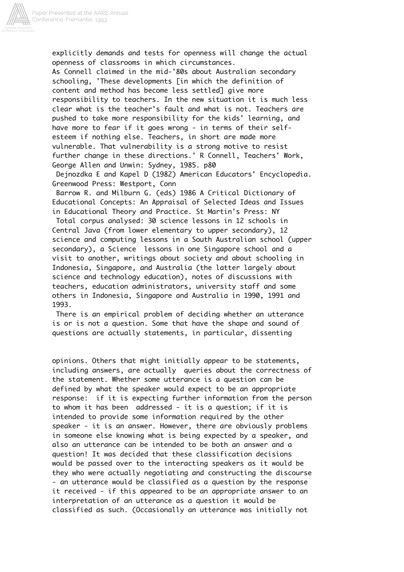

explicitly demands and tests for openness will change the actual openness of classrooms in which circumstances. As Connell claimed in the mid-'80s about Australian secondary schooling, 'These developments [in which the definition of content and method has become less settled] give more responsibility to teachers. In the new situation it is much less clear what is the teacher's fault and what is not. Teachers are pushed to take more responsibility for the kids' learning, and have more to fear if it goes wrong - in terms of their selfesteem if nothing else. Teachers, in short are made more vulnerable. That vulnerability is a strong motive to resist further change in these directions.' R Connell, Teachers' Work, George Allen and Unwin: Sydney, 1985. p80

 Dejnozdka E and Kapel D (1982) American Educators' Encyclopedia. Greenwood Press: Westport, Conn

 Barrow R. and Milburn G. (eds) 1986 A Critical Dictionary of Educational Concepts: An Appraisal of Selected Ideas and Issues in Educational Theory and Practice. St Martin's Press: NY

 Total corpus analysed: 30 science lessons in 12 schools in Central Java (from lower elementary to upper secondary), 12 science and computing lessons in a South Australian school (upper secondary), a Science lessons in one Singapore school and a visit to another, writings about society and about schooling in Indonesia, Singapore, and Australia (the latter largely about science and technology education), notes of discussions with teachers, education administrators, university staff and some others in Indonesia, Singapore and Australia in 1990, 1991 and 1993.

 There is an empirical problem of deciding whether an utterance is or is not a question. Some that have the shape and sound of questions are actually statements, in particular, dissenting

opinions. Others that might initially appear to be statements, including answers, are actually queries about the correctness of the statement. Whether some utterance is a question can be defined by what the speaker would expect to be an appropriate response: if it is expecting further information from the person to whom it has been addressed - it is a question; if it is intended to provide some information required by the other speaker - it is an answer. However, there are obviously problems in someone else knowing what is being expected by a speaker, and also an utterance can be intended to be both an answer and a question! It was decided that these classification decisions would be passed over to the interacting speakers as it would be they who were actually negotiating and constructing the discourse - an utterance would be classified as a question by the response it received - if this appeared to be an appropriate answer to an interpretation of an utterance as a question it would be classified as such. (Occasionally an utterance was initially not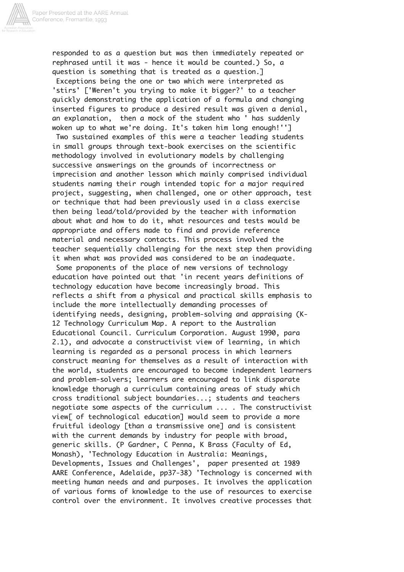

responded to as a question but was then immediately repeated or rephrased until it was - hence it would be counted.) So, a question is something that is treated as a question.] Exceptions being the one or two which were interpreted as 'stirs' ['Weren't you trying to make it bigger?' to a teacher quickly demonstrating the application of a formula and changing inserted figures to produce a desired result was given a denial, an explanation, then a mock of the student who ' has suddenly

woken up to what we're doing. It's taken him long enough!''] Two sustained examples of this were a teacher leading students in small groups through text-book exercises on the scientific methodology involved in evolutionary models by challenging successive answerings on the grounds of incorrectness or imprecision and another lesson which mainly comprised individual students naming their rough intended topic for a major required project, suggesting, when challenged, one or other approach, test or technique that had been previously used in a class exercise then being lead/told/provided by the teacher with information about what and how to do it, what resources and tests would be appropriate and offers made to find and provide reference material and necessary contacts. This process involved the teacher sequentially challenging for the next step then providing it when what was provided was considered to be an inadequate.

 Some proponents of the place of new versions of technology education have pointed out that 'in recent years definitions of technology education have become increasingly broad. This reflects a shift from a physical and practical skills emphasis to include the more intellectually demanding processes of identifying needs, designing, problem-solving and appraising (K-12 Technology Curriculum Map. A report to the Australian Educational Council. Curriculum Corporation. August 1990, para 2.1), and advocate a constructivist view of learning, in which learning is regarded as a personal process in which learners construct meaning for themselves as a result of interaction with the world, students are encouraged to become independent learners and problem-solvers; learners are encouraged to link disparate knowledge thorugh a curriculum containing areas of study which cross traditional subject boundaries...; students and teachers negotiate some aspects of the curriculum ... . The constructivist view[ of technological education] would seem to provide a more fruitful ideology [than a transmissive one] and is consistent with the current demands by industry for people with broad, generic skills. (P Gardner, C Penna, K Brass (Faculty of Ed, Monash), 'Technology Education in Australia: Meanings, Developments, Issues and Challenges', paper presented at 1989 AARE Conference, Adelaide, pp37-38) 'Technology is concerned with meeting human needs and and purposes. It involves the application of various forms of knowledge to the use of resources to exercise control over the environment. It involves creative processes that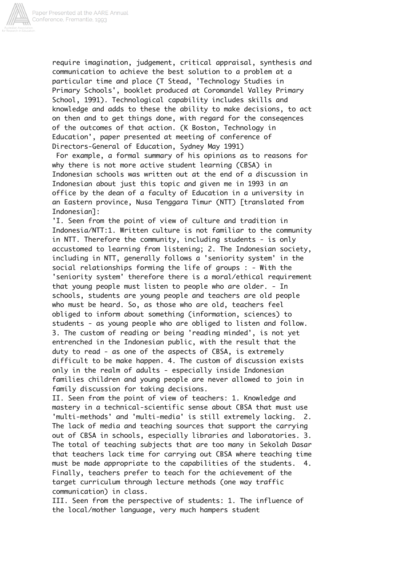

require imagination, judgement, critical appraisal, synthesis and communication to achieve the best solution to a problem at a particular time and place (T Stead, 'Technology Studies in Primary Schools', booklet produced at Coromandel Valley Primary School, 1991). Technological capability includes skills and knowledge and adds to these the ability to make decisions, to act on then and to get things done, with regard for the conseqences of the outcomes of that action. (K Boston, Technology in Education', paper presented at meeting of conference of Directors-General of Education, Sydney May 1991)

 For example, a formal summary of his opinions as to reasons for why there is not more active student learning (CBSA) in Indonesian schools was written out at the end of a discussion in Indonesian about just this topic and given me in 1993 in an office by the dean of a faculty of Education in a university in an Eastern province, Nusa Tenggara Timur (NTT) [translated from Indonesian]:

'I. Seen from the point of view of culture and tradition in Indonesia/NTT:1. Written culture is not familiar to the community in NTT. Therefore the community, including students - is only accustomed to learning from listening; 2. The Indonesian society, including in NTT, generally follows a 'seniority system' in the social relationships forming the life of groups : - With the 'seniority system' therefore there is a moral/ethical requirement that young people must listen to people who are older. - In schools, students are young people and teachers are old people who must be heard. So, as those who are old, teachers feel obliged to inform about something (information, sciences) to students - as young people who are obliged to listen and follow. 3. The custom of reading or being 'reading minded', is not yet entrenched in the Indonesian public, with the result that the duty to read - as one of the aspects of CBSA, is extremely difficult to be make happen. 4. The custom of discussion exists only in the realm of adults - especially inside Indonesian families children and young people are never allowed to join in family discussion for taking decisions.

II. Seen from the point of view of teachers: 1. Knowledge and mastery in a technical-scientific sense about CBSA that must use 'multi-methods' and 'multi-media' is still extremely lacking. 2. The lack of media and teaching sources that support the carrying out of CBSA in schools, especially libraries and laboratories. 3. The total of teaching subjects that are too many in Sekolah Dasar that teachers lack time for carrying out CBSA where teaching time must be made appropriate to the capabilities of the students. 4. Finally, teachers prefer to teach for the achievement of the target curriculum through lecture methods (one way traffic communication) in class.

III. Seen from the perspective of students: 1. The influence of the local/mother language, very much hampers student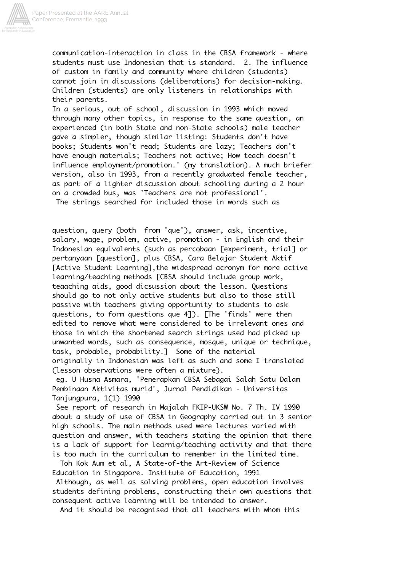

communication-interaction in class in the CBSA framework - where students must use Indonesian that is standard. 2. The influence of custom in family and community where children (students) cannot join in discussions (deliberations) for decision-making. Children (students) are only listeners in relationships with their parents.

In a serious, out of school, discussion in 1993 which moved through many other topics, in response to the same question, an experienced (in both State and non-State schools) male teacher gave a simpler, though similar listing: Students don't have books; Students won't read; Students are lazy; Teachers don't have enough materials; Teachers not active; How teach doesn't influence employment/promotion.' (my translation). A much briefer version, also in 1993, from a recently graduated female teacher, as part of a lighter discussion about schooling during a 2 hour on a crowded bus, was 'Teachers are not professional'. The strings searched for included those in words such as

question, query (both from 'que'), answer, ask, incentive, salary, wage, problem, active, promotion - in English and their Indonesian equivalents (such as percobaan [experiment, trial] or pertanyaan [question], plus CBSA, Cara Belajar Student Aktif [Active Student Learning],the widespread acronym for more active learning/teaching methods [CBSA should include group work, teaaching aids, good dicsussion about the lesson. Questions should go to not only active students but also to those still passive with teachers giving opportunity to students to ask questions, to form questions que 4]). [The 'finds' were then edited to remove what were considered to be irrelevant ones and those in which the shortened search strings used had picked up unwanted words, such as consequence, mosque, unique or technique, task, probable, probability.] Some of the material originally in Indonesian was left as such and some I translated (lesson observations were often a mixture).

 eg. U Husna Asmara, 'Penerapkan CBSA Sebagai Salah Satu Dalam Pembinaan Aktivitas murid', Jurnal Pendidikan - Universitas Tanjungpura, 1(1) 1990

 See report of research in Majalah FKIP-UKSW No. 7 Th. IV 1990 about a study of use of CBSA in Geography carried out in 3 senior high schools. The main methods used were lectures varied with question and answer, with teachers stating the opinion that there is a lack of support for learnig/teaching activity and that there is too much in the curriculum to remember in the limited time.

 Toh Kok Aum et al, A State-of-the Art-Review of Science Education in Singapore. Institute of Education, 1991

 Although, as well as solving problems, open education involves students defining problems, constructing their own questions that consequent active learning will be intended to answer.

And it should be recognised that all teachers with whom this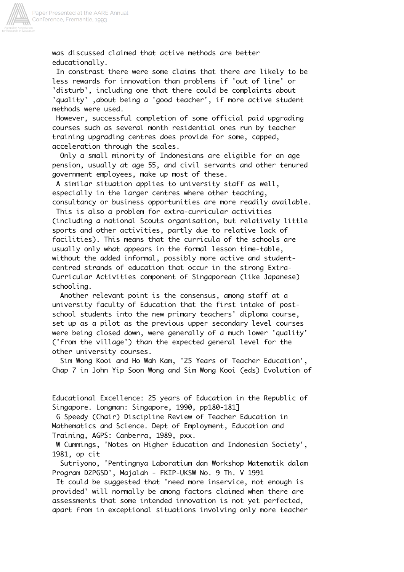

was discussed claimed that active methods are better educationally.

 In constrast there were some claims that there are likely to be less rewards for innovation than problems if 'out of line' or 'disturb', including one that there could be complaints about 'quality' ,about being a 'good teacher', if more active student methods were used.

 However, successful completion of some official paid upgrading courses such as several month residential ones run by teacher training upgrading centres does provide for some, capped, acceleration through the scales.

 Only a small minority of Indonesians are eligible for an age pension, usually at age 55, and civil servants and other tenured government employees, make up most of these.

 A similar situation applies to university staff as well, especially in the larger centres where other teaching, consultancy or business opportunities are more readily available.

 This is also a problem for extra-curricular activities (including a national Scouts organisation, but relatively little sports and other activities, partly due to relative lack of facilities). This means that the curricula of the schools are usually only what appears in the formal lesson time-table, without the added informal, possibly more active and studentcentred strands of education that occur in the strong Extra-Curricular Activities component of Singaporean (like Japanese) schooling.

 Another relevant point is the consensus, among staff at a university faculty of Education that the first intake of postschool students into the new primary teachers' diploma course, set up as a pilot as the previous upper secondary level courses were being closed down, were generally of a much lower 'quality' ('from the village') than the expected general level for the other university courses.

 Sim Wong Kooi and Ho Wah Kam, '25 Years of Teacher Education', Chap 7 in John Yip Soon Wong and Sim Wong Kooi (eds) Evolution of

Educational Excellence: 25 years of Education in the Republic of Singapore. Longman: Singapore, 1990, pp180-181]

 G Speedy (Chair) Discipline Review of Teacher Education in Mathematics and Science. Dept of Employment, Education and Training, AGPS: Canberra, 1989, pxx.

 W Cummings, 'Notes on Higher Education and Indonesian Society', 1981, op cit

 Sutriyono, 'Pentingnya Laboratium dan Workshop Matematik dalam Program D2PGSD', Majalah - FKIP-UKSW No. 9 Th. V 1991

 It could be suggested that 'need more inservice, not enough is provided' will normally be among factors claimed when there are assessments that some intended innovation is not yet perfected, apart from in exceptional situations involving only more teacher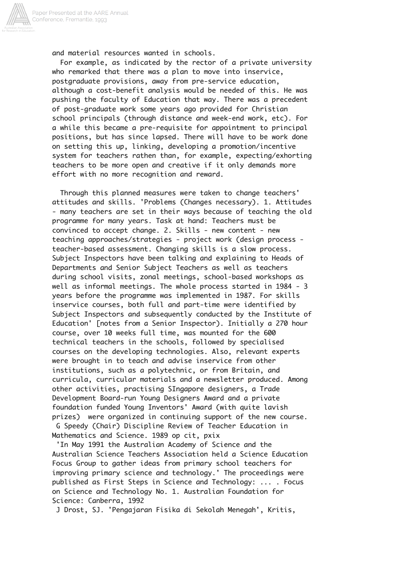

and material resources wanted in schools.

 For example, as indicated by the rector of a private university who remarked that there was a plan to move into inservice, postgraduate provisions, away from pre-service education, although a cost-benefit analysis would be needed of this. He was pushing the faculty of Education that way. There was a precedent of post-graduate work some years ago provided for Christian school principals (through distance and week-end work, etc). For a while this became a pre-requisite for appointment to principal positions, but has since lapsed. There will have to be work done on setting this up, linking, developing a promotion/incentive system for teachers rathen than, for example, expecting/exhorting teachers to be more open and creative if it only demands more effort with no more recognition and reward.

 Through this planned measures were taken to change teachers' attitudes and skills. 'Problems (Changes necessary). 1. Attitudes - many teachers are set in their ways because of teaching the old programme for many years. Task at hand: Teachers must be convinced to accept change. 2. Skills - new content - new teaching approaches/strategies - project work (design process teacher-based assessment. Changing skills is a slow process. Subject Inspectors have been talking and explaining to Heads of Departments and Senior Subject Teachers as well as teachers during school visits, zonal meetings, school-based workshops as well as informal meetings. The whole process started in 1984 - 3 years before the programme was implemented in 1987. For skills inservice courses, both full and part-time were identified by Subject Inspectors and subsequently conducted by the Institute of Education' [notes from a Senior Inspector). Initially a 270 hour course, over 10 weeks full time, was mounted for the 600 technical teachers in the schools, followed by specialised courses on the developing technologies. Also, relevant experts were brought in to teach and advise inservice from other institutions, such as a polytechnic, or from Britain, and curricula, curricular materials and a newsletter produced. Among other activities, practising SIngapore designers, a Trade Development Board-run Young Designers Award and a private foundation funded Young Inventors' Award (with quite lavish prizes) were organized in continuing support of the new course. G Speedy (Chair) Discipline Review of Teacher Education in Mathematics and Science. 1989 op cit, pxix

 'In May 1991 the Australian Academy of Science and the Australian Science Teachers Association held a Science Education Focus Group to gather ideas from primary school teachers for improving primary science and technology.' The proceedings were published as First Steps in Science and Technology: ... . Focus on Science and Technology No. 1. Australian Foundation for Science: Canberra, 1992

J Drost, SJ. 'Pengajaran Fisika di Sekolah Menegah', Kritis,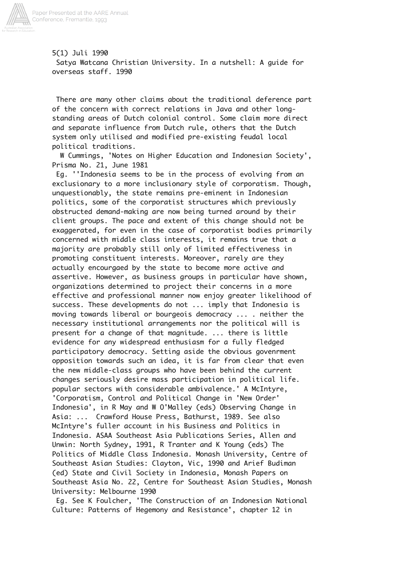

5(1) Juli 1990 Satya Watcana Christian University. In a nutshell: A guide for overseas staff. 1990

 There are many other claims about the traditional deference part of the concern with correct relations in Java and other longstanding areas of Dutch colonial control. Some claim more direct and separate influence from Dutch rule, others that the Dutch system only utilised and modified pre-existing feudal local political traditions.

 W Cummings, 'Notes on Higher Education and Indonesian Society', Prisma No. 21, June 1981

 Eg. ''Indonesia seems to be in the process of evolving from an exclusionary to a more inclusionary style of corporatism. Though, unquestionably, the state remains pre-eminent in Indonesian politics, some of the corporatist structures which previously obstructed demand-making are now being turned around by their client groups. The pace and extent of this change should not be exaggerated, for even in the case of corporatist bodies primarily concerned with middle class interests, it remains true that a majority are probably still only of limited effectiveness in promoting constituent interests. Moreover, rarely are they actually encourgaed by the state to become more active and assertive. However, as business groups in particular have shown, organizations determined to project their concerns in a more effective and professional manner now enjoy greater likelihood of success. These developments do not ... imply that Indonesia is moving towards liberal or bourgeois democracy ... . neither the necessary institutional arrangements nor the political will is present for a change of that magnitude. ... there is little evidence for any widespread enthusiasm for a fully fledged participatory democracy. Setting aside the obvious govenrment opposition towards such an idea, it is far from clear that even the new middle-class groups who have been behind the current changes seriously desire mass participation in political life. popular sectors with considerable ambivalence.' A McIntyre, 'Corporatism, Control and Political Change in 'New Order' Indonesia', in R May and W O'Malley (eds) Observing Change in Asia: ... Crawford House Press, Bathurst, 1989. See also McIntyre's fuller account in his Business and Politics in Indonesia. ASAA Southeast Asia Publications Series, Allen and Unwin: North Sydney, 1991, R Tranter and K Young (eds) The Politics of Middle Class Indonesia. Monash University, Centre of Southeast Asian Studies: Clayton, Vic, 1990 and Arief Budiman (ed) State and Civil Society in Indonesia, Monash Papers on Southeast Asia No. 22, Centre for Southeast Asian Studies, Monash University: Melbourne 1990

 Eg. See K Foulcher, 'The Construction of an Indonesian National Culture: Patterns of Hegemony and Resistance', chapter 12 in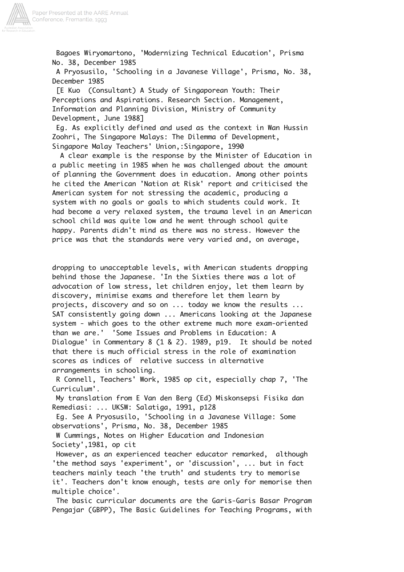

 Bagoes Wiryomartono, 'Modernizing Technical Education', Prisma No. 38, December 1985

 A Pryosusilo, 'Schooling in a Javanese Village', Prisma, No. 38, December 1985

 [E Kuo (Consultant) A Study of Singaporean Youth: Their Perceptions and Aspirations. Research Section. Management, Information and Planning Division, Ministry of Community Development, June 1988]

 Eg. As explicitly defined and used as the context in Wan Hussin Zoohri, The Singapore Malays: The Dilemma of Development, Singapore Malay Teachers' Union,:Singapore, 1990

 A clear example is the response by the Minister of Education in a public meeting in 1985 when he was challenged about the amount of planning the Government does in education. Among other points he cited the American 'Nation at Risk' report and criticised the American system for not stressing the academic, producing a system with no goals or goals to which students could work. It had become a very relaxed system, the trauma level in an American school child was quite low and he went through school quite happy. Parents didn't mind as there was no stress. However the price was that the standards were very varied and, on average,

dropping to unacceptable levels, with American students dropping behind those the Japanese. 'In the Sixties there was a lot of advocation of low stress, let children enjoy, let them learn by discovery, minimise exams and therefore let them learn by projects, discovery and so on ... today we know the results ... SAT consistently going down ... Americans looking at the Japanese system - which goes to the other extreme much more exam-oriented than we are.' 'Some Issues and Problems in Education: A Dialogue' in Commentary 8 (1 & 2). 1989, p19. It should be noted that there is much official stress in the role of examination scores as indices of relative success in alternative arrangements in schooling.

 R Connell, Teachers' Work, 1985 op cit, especially chap 7, 'The Curriculum'.

 My translation from E Van den Berg (Ed) Miskonsepsi Fisika dan Remediasi: ... UKSW: Salatiga, 1991, p128

 Eg. See A Pryosusilo, 'Schooling in a Javanese Village: Some observations', Prisma, No. 38, December 1985

 W Cummings, Notes on Higher Education and Indonesian Society',1981, op cit

 However, as an experienced teacher educator remarked, although 'the method says 'experiment', or 'discussion', ... but in fact teachers mainly teach 'the truth' and students try to memorise it'. Teachers don't know enough, tests are only for memorise then multiple choice'.

 The basic curricular documents are the Garis-Garis Basar Program Pengajar (GBPP), The Basic Guidelines for Teaching Programs, with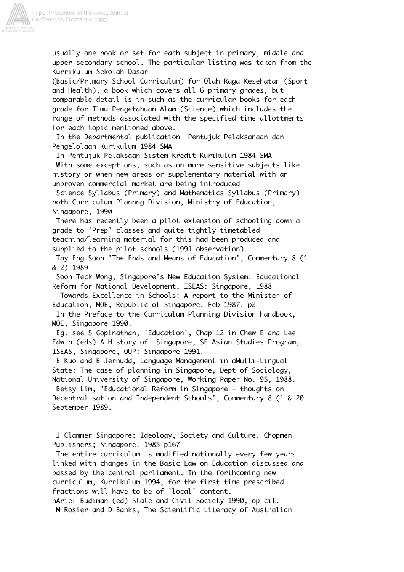

usually one book or set for each subject in primary, middle and upper secondary school. The particular listing was taken from the Kurrikulum Sekolah Dasar

(Basic/Primary School Curriculum) for Olah Raga Kesehatan (Sport and Health), a book which covers all 6 primary grades, but comparable detail is in such as the curricular books for each grade for Ilmu Pengetahuan Alam (Science) which includes the range of methods associated with the specified time allottments for each topic mentioned above.

 In the Departmental publication Pentujuk Pelaksanaan dan Pengelolaan Kurikulum 1984 SMA

 In Pentujuk Pelaksaan Sistem Kredit Kurikulum 1984 SMA With some exceptions, such as on more sensitive subjects like history or when new areas or supplementary material with an unproven commercial market are being introduced

 Science Syllabus (Primary) and Mathematics Syllabus (Primary) both Curriculum Plannng Division, Ministry of Education, Singapore, 1990

 There has recently been a pilot extension of schooling down a grade to 'Prep' classes and quite tightly timetabled teaching/learning material for this had been produced and supplied to the pilot schools (1991 observation).

 Tay Eng Soon 'The Ends and Means of Education', Commentary 8 (1 & 2) 1989

 Soon Teck Wong, Singapore's New Education System: Educational Reform for National Development, ISEAS: Singapore, 1988

 Towards Excellence in Schools: A report to the Minister of Education, MOE, Republic of Singapore, Feb 1987. p2

 In the Preface to the Curriculum Planning Division handbook, MOE, Singapore 1990.

 Eg. see S Gopinathan, 'Education', Chap 12 in Chew E and Lee Edwin (eds) A History of Singapore, SE Asian Studies Program, ISEAS, Singapore, OUP: Singapore 1991.

 E Kuo and B Jernudd, Language Management in aMulti-Lingual State: The case of planning in Singapore, Dept of Sociology, National University of Singapore, Working Paper No. 95, 1988.

 Betsy Lim, 'Educational Reform in Singapore - thoughts on Decentralisation and Independent Schools', Commentary 8 (1 & 20 September 1989.

 J Clammer Singapore: Ideology, Society and Culture. Chopmen Publishers; Singapore. 1985 p167

 The entire curriculum is modified nationally every few years linked with changes in the Basic Law on Education discussed and passed by the central parliament. In the forthcoming new curriculum, Kurrikulum 1994, for the first time prescribed fractions will have to be of 'local' content. nArief Budiman (ed) State and Civil Society 1990, op cit.

M Rosier and D Banks, The Scientific Literacy of Australian